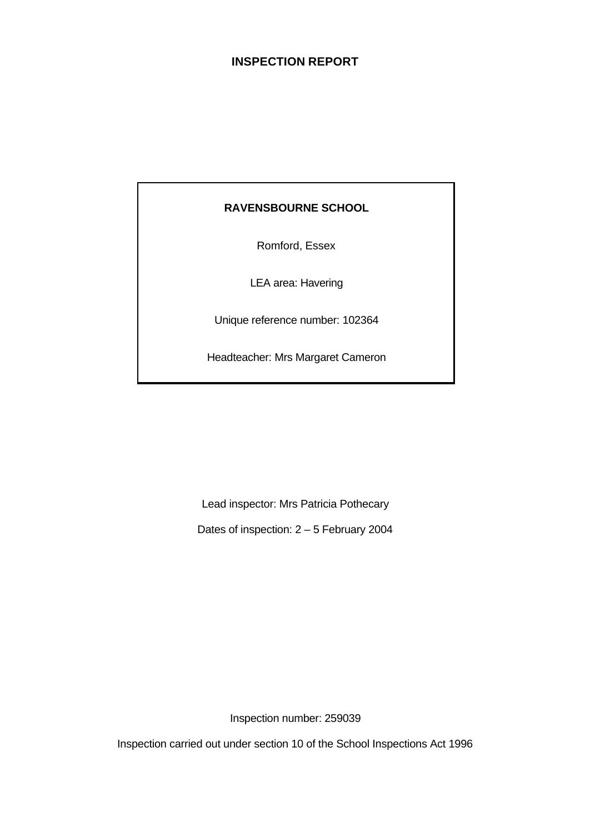# **INSPECTION REPORT**

# **RAVENSBOURNE SCHOOL**

Romford, Essex

LEA area: Havering

Unique reference number: 102364

Headteacher: Mrs Margaret Cameron

Lead inspector: Mrs Patricia Pothecary

Dates of inspection: 2 – 5 February 2004

Inspection number: 259039

Inspection carried out under section 10 of the School Inspections Act 1996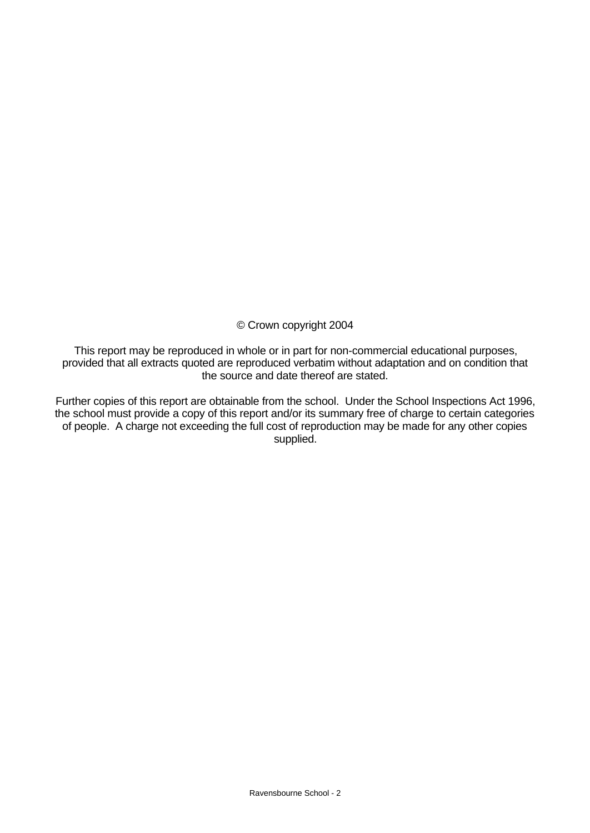© Crown copyright 2004

This report may be reproduced in whole or in part for non-commercial educational purposes, provided that all extracts quoted are reproduced verbatim without adaptation and on condition that the source and date thereof are stated.

Further copies of this report are obtainable from the school. Under the School Inspections Act 1996, the school must provide a copy of this report and/or its summary free of charge to certain categories of people. A charge not exceeding the full cost of reproduction may be made for any other copies supplied.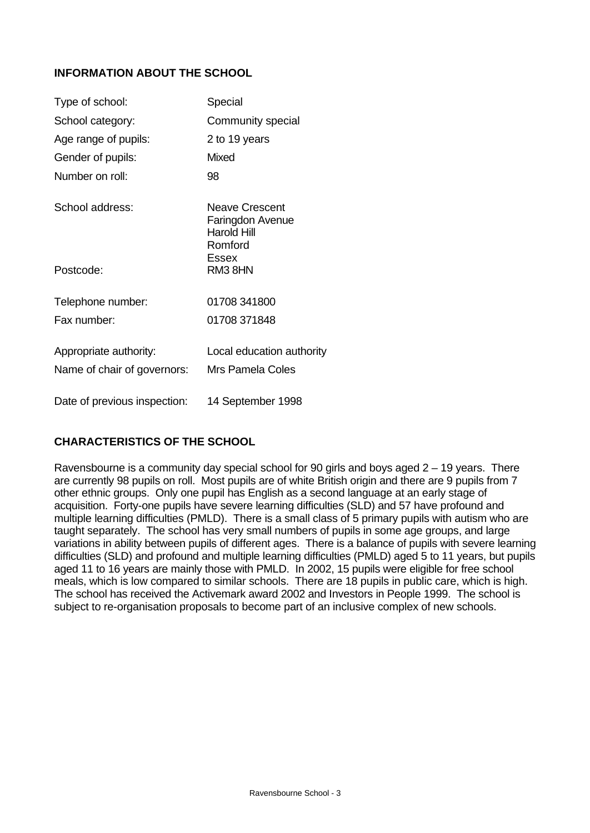# **INFORMATION ABOUT THE SCHOOL**

| Type of school:              | Special                                                                             |
|------------------------------|-------------------------------------------------------------------------------------|
| School category:             | Community special                                                                   |
| Age range of pupils:         | 2 to 19 years                                                                       |
| Gender of pupils:            | <b>Mixed</b>                                                                        |
| Number on roll <sup>.</sup>  | 98                                                                                  |
| School address:              | <b>Neave Crescent</b><br>Faringdon Avenue<br><b>Harold Hill</b><br>Romford<br>Essex |
| Postcode:                    | RM38HN                                                                              |
| Telephone number:            | 01708 341800                                                                        |
| Fax number:                  | 01708 371848                                                                        |
| Appropriate authority:       | Local education authority                                                           |
| Name of chair of governors:  | Mrs Pamela Coles                                                                    |
| Date of previous inspection: | 14 September 1998                                                                   |

# **CHARACTERISTICS OF THE SCHOOL**

Ravensbourne is a community day special school for 90 girls and boys aged 2 – 19 years. There are currently 98 pupils on roll. Most pupils are of white British origin and there are 9 pupils from 7 other ethnic groups. Only one pupil has English as a second language at an early stage of acquisition. Forty-one pupils have severe learning difficulties (SLD) and 57 have profound and multiple learning difficulties (PMLD). There is a small class of 5 primary pupils with autism who are taught separately. The school has very small numbers of pupils in some age groups, and large variations in ability between pupils of different ages. There is a balance of pupils with severe learning difficulties (SLD) and profound and multiple learning difficulties (PMLD) aged 5 to 11 years, but pupils aged 11 to 16 years are mainly those with PMLD. In 2002, 15 pupils were eligible for free school meals, which is low compared to similar schools. There are 18 pupils in public care, which is high. The school has received the Activemark award 2002 and Investors in People 1999. The school is subject to re-organisation proposals to become part of an inclusive complex of new schools.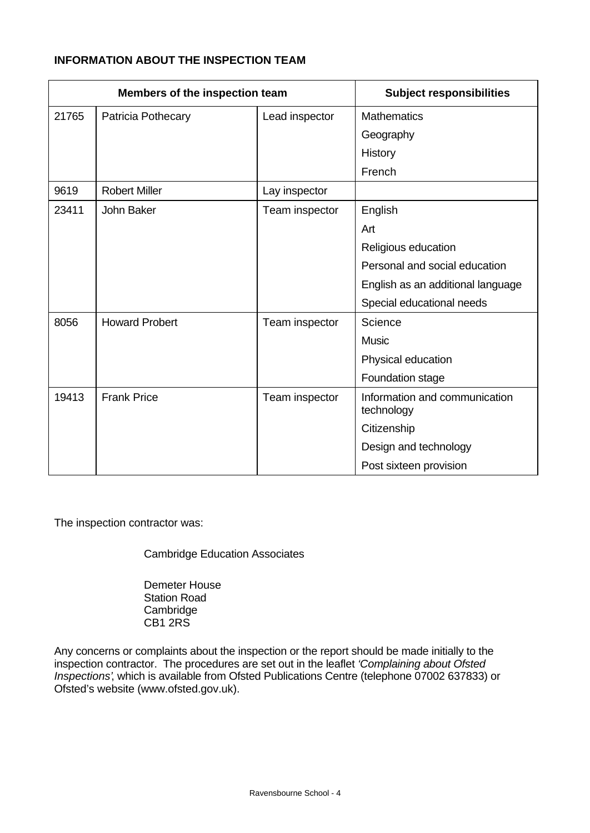# **INFORMATION ABOUT THE INSPECTION TEAM**

| Members of the inspection team |                       |                | <b>Subject responsibilities</b>             |
|--------------------------------|-----------------------|----------------|---------------------------------------------|
| 21765                          | Patricia Pothecary    | Lead inspector | <b>Mathematics</b>                          |
|                                |                       |                | Geography                                   |
|                                |                       |                | History                                     |
|                                |                       |                | French                                      |
| 9619                           | <b>Robert Miller</b>  | Lay inspector  |                                             |
| 23411                          | John Baker            | Team inspector | English                                     |
|                                |                       |                | Art                                         |
|                                |                       |                | Religious education                         |
|                                |                       |                | Personal and social education               |
|                                |                       |                | English as an additional language           |
|                                |                       |                | Special educational needs                   |
| 8056                           | <b>Howard Probert</b> | Team inspector | Science                                     |
|                                |                       |                | <b>Music</b>                                |
|                                |                       |                | Physical education                          |
|                                |                       |                | Foundation stage                            |
| 19413                          | <b>Frank Price</b>    | Team inspector | Information and communication<br>technology |
|                                |                       |                | Citizenship                                 |
|                                |                       |                | Design and technology                       |
|                                |                       |                | Post sixteen provision                      |

The inspection contractor was:

Cambridge Education Associates

Demeter House Station Road **Cambridge** CB1 2RS

Any concerns or complaints about the inspection or the report should be made initially to the inspection contractor. The procedures are set out in the leaflet *'Complaining about Ofsted Inspections'*, which is available from Ofsted Publications Centre (telephone 07002 637833) or Ofsted's website (www.ofsted.gov.uk).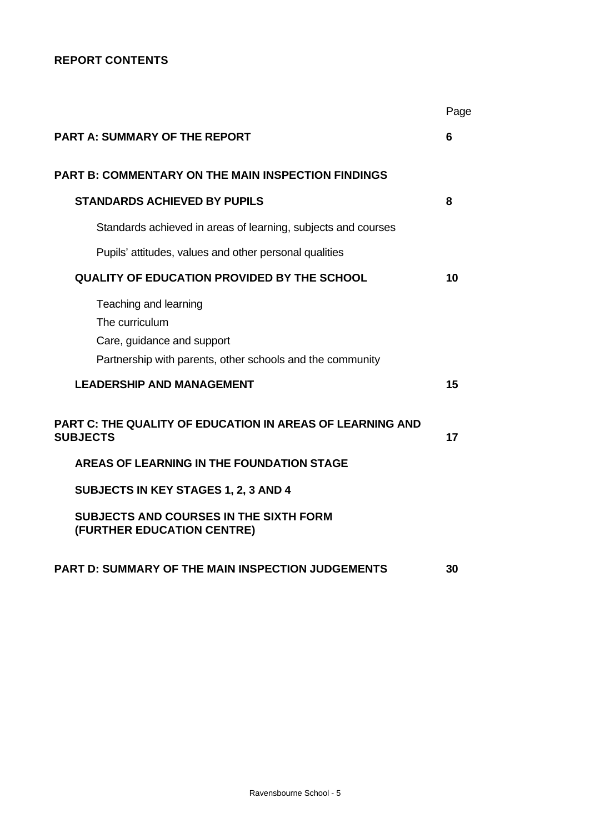# **REPORT CONTENTS**

|                                                                                                                                    | Page |
|------------------------------------------------------------------------------------------------------------------------------------|------|
| PART A: SUMMARY OF THE REPORT                                                                                                      | 6    |
| <b>PART B: COMMENTARY ON THE MAIN INSPECTION FINDINGS</b>                                                                          |      |
| <b>STANDARDS ACHIEVED BY PUPILS</b>                                                                                                | 8    |
| Standards achieved in areas of learning, subjects and courses                                                                      |      |
| Pupils' attitudes, values and other personal qualities                                                                             |      |
| <b>QUALITY OF EDUCATION PROVIDED BY THE SCHOOL</b>                                                                                 | 10   |
| Teaching and learning<br>The curriculum<br>Care, guidance and support<br>Partnership with parents, other schools and the community |      |
| <b>LEADERSHIP AND MANAGEMENT</b>                                                                                                   | 15   |
| PART C: THE QUALITY OF EDUCATION IN AREAS OF LEARNING AND<br><b>SUBJECTS</b>                                                       | 17   |
| <b>AREAS OF LEARNING IN THE FOUNDATION STAGE</b>                                                                                   |      |
| <b>SUBJECTS IN KEY STAGES 1, 2, 3 AND 4</b>                                                                                        |      |
| <b>SUBJECTS AND COURSES IN THE SIXTH FORM</b><br>(FURTHER EDUCATION CENTRE)                                                        |      |
| PART D: SUMMARY OF THE MAIN INSPECTION JUDGEMENTS                                                                                  | 30   |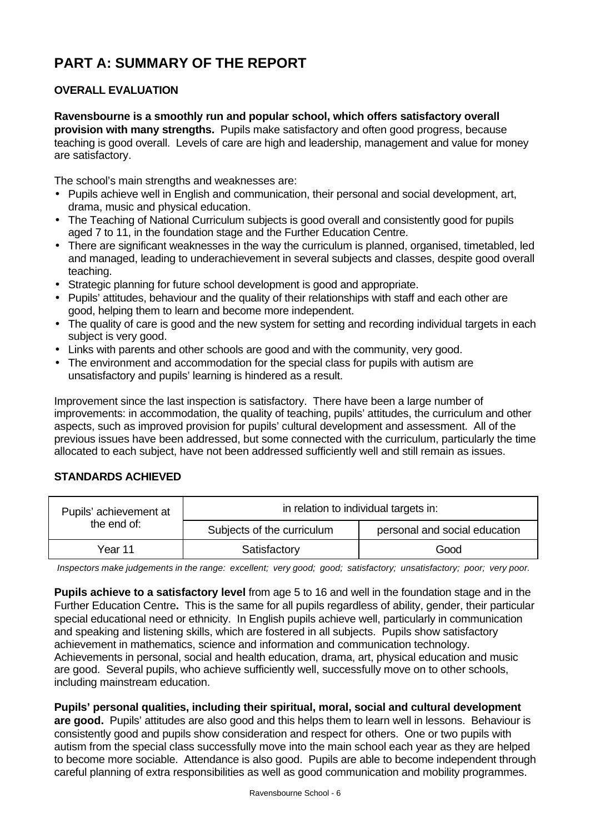# **PART A: SUMMARY OF THE REPORT**

# **OVERALL EVALUATION**

**Ravensbourne is a smoothly run and popular school, which offers satisfactory overall provision with many strengths.** Pupils make satisfactory and often good progress, because teaching is good overall. Levels of care are high and leadership, management and value for money are satisfactory.

The school's main strengths and weaknesses are:

- Pupils achieve well in English and communication, their personal and social development, art, drama, music and physical education.
- The Teaching of National Curriculum subjects is good overall and consistently good for pupils aged 7 to 11, in the foundation stage and the Further Education Centre.
- There are significant weaknesses in the way the curriculum is planned, organised, timetabled, led and managed, leading to underachievement in several subjects and classes, despite good overall teaching.
- Strategic planning for future school development is good and appropriate.
- Pupils' attitudes, behaviour and the quality of their relationships with staff and each other are good, helping them to learn and become more independent.
- The quality of care is good and the new system for setting and recording individual targets in each subject is very good.
- Links with parents and other schools are good and with the community, very good.
- The environment and accommodation for the special class for pupils with autism are unsatisfactory and pupils' learning is hindered as a result.

Improvement since the last inspection is satisfactory. There have been a large number of improvements: in accommodation, the quality of teaching, pupils' attitudes, the curriculum and other aspects, such as improved provision for pupils' cultural development and assessment. All of the previous issues have been addressed, but some connected with the curriculum, particularly the time allocated to each subject, have not been addressed sufficiently well and still remain as issues.

### **STANDARDS ACHIEVED**

| Pupils' achievement at | in relation to individual targets in: |                               |  |  |  |
|------------------------|---------------------------------------|-------------------------------|--|--|--|
| the end of:            | Subjects of the curriculum            | personal and social education |  |  |  |
| Year 11                | Satisfactory                          | Good                          |  |  |  |

*Inspectors make judgements in the range: excellent; very good; good; satisfactory; unsatisfactory; poor; very poor.*

**Pupils achieve to a satisfactory level** from age 5 to 16 and well in the foundation stage and in the Further Education Centre**.** This is the same for all pupils regardless of ability, gender, their particular special educational need or ethnicity. In English pupils achieve well, particularly in communication and speaking and listening skills, which are fostered in all subjects. Pupils show satisfactory achievement in mathematics, science and information and communication technology. Achievements in personal, social and health education, drama, art, physical education and music are good. Several pupils, who achieve sufficiently well, successfully move on to other schools, including mainstream education.

# **Pupils' personal qualities, including their spiritual, moral, social and cultural development**

**are good.** Pupils' attitudes are also good and this helps them to learn well in lessons. Behaviour is consistently good and pupils show consideration and respect for others. One or two pupils with autism from the special class successfully move into the main school each year as they are helped to become more sociable. Attendance is also good. Pupils are able to become independent through careful planning of extra responsibilities as well as good communication and mobility programmes.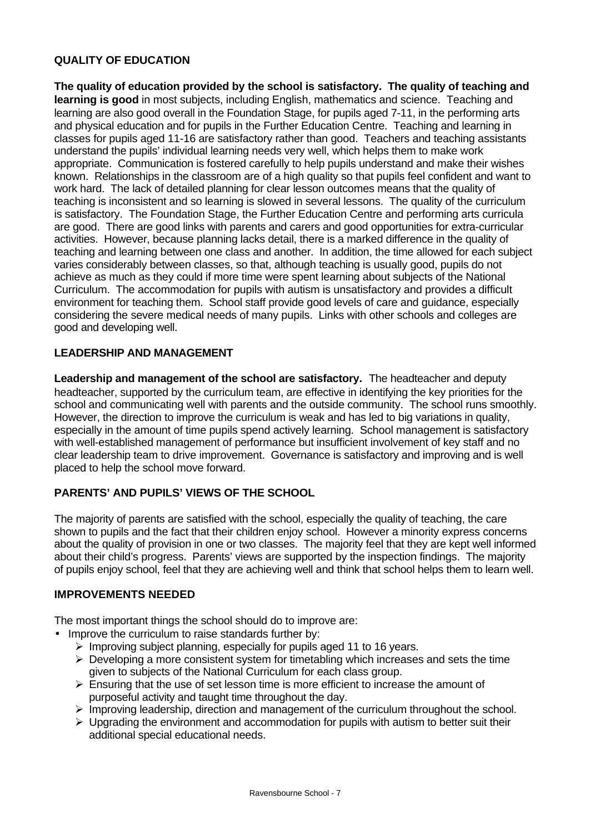# **QUALITY OF EDUCATION**

**The quality of education provided by the school is satisfactory. The quality of teaching and learning is good** in most subjects, including English, mathematics and science. Teaching and learning are also good overall in the Foundation Stage, for pupils aged 7-11, in the performing arts and physical education and for pupils in the Further Education Centre. Teaching and learning in classes for pupils aged 11-16 are satisfactory rather than good. Teachers and teaching assistants understand the pupils' individual learning needs very well, which helps them to make work appropriate. Communication is fostered carefully to help pupils understand and make their wishes known. Relationships in the classroom are of a high quality so that pupils feel confident and want to work hard. The lack of detailed planning for clear lesson outcomes means that the quality of teaching is inconsistent and so learning is slowed in several lessons. The quality of the curriculum is satisfactory. The Foundation Stage, the Further Education Centre and performing arts curricula are good. There are good links with parents and carers and good opportunities for extra-curricular activities. However, because planning lacks detail, there is a marked difference in the quality of teaching and learning between one class and another. In addition, the time allowed for each subject varies considerably between classes, so that, although teaching is usually good, pupils do not achieve as much as they could if more time were spent learning about subjects of the National Curriculum. The accommodation for pupils with autism is unsatisfactory and provides a difficult environment for teaching them. School staff provide good levels of care and guidance, especially considering the severe medical needs of many pupils. Links with other schools and colleges are good and developing well.

### **LEADERSHIP AND MANAGEMENT**

**Leadership and management of the school are satisfactory.** The headteacher and deputy headteacher, supported by the curriculum team, are effective in identifying the key priorities for the school and communicating well with parents and the outside community. The school runs smoothly. However, the direction to improve the curriculum is weak and has led to big variations in quality, especially in the amount of time pupils spend actively learning. School management is satisfactory with well-established management of performance but insufficient involvement of key staff and no clear leadership team to drive improvement. Governance is satisfactory and improving and is well placed to help the school move forward.

# **PARENTS' AND PUPILS' VIEWS OF THE SCHOOL**

The majority of parents are satisfied with the school, especially the quality of teaching, the care shown to pupils and the fact that their children enjoy school. However a minority express concerns about the quality of provision in one or two classes. The majority feel that they are kept well informed about their child's progress. Parents' views are supported by the inspection findings. The majority of pupils enjoy school, feel that they are achieving well and think that school helps them to learn well.

### **IMPROVEMENTS NEEDED**

The most important things the school should do to improve are:

- Improve the curriculum to raise standards further by:
	- $\triangleright$  Improving subject planning, especially for pupils aged 11 to 16 years.
	- $\triangleright$  Developing a more consistent system for timetabling which increases and sets the time given to subjects of the National Curriculum for each class group.
	- $\triangleright$  Ensuring that the use of set lesson time is more efficient to increase the amount of purposeful activity and taught time throughout the day.
	- $\triangleright$  Improving leadership, direction and management of the curriculum throughout the school.
	- $\triangleright$  Upgrading the environment and accommodation for pupils with autism to better suit their additional special educational needs.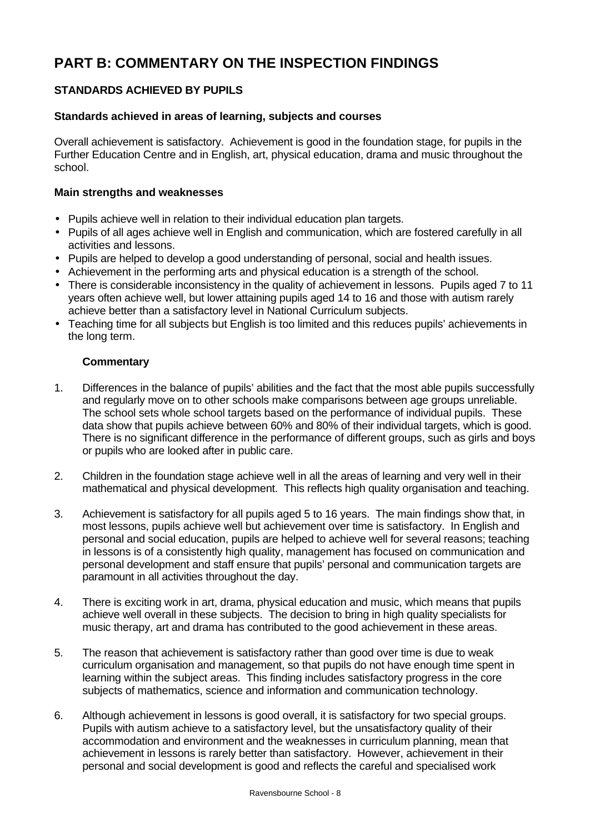# **PART B: COMMENTARY ON THE INSPECTION FINDINGS**

# **STANDARDS ACHIEVED BY PUPILS**

# **Standards achieved in areas of learning, subjects and courses**

Overall achievement is satisfactory. Achievement is good in the foundation stage, for pupils in the Further Education Centre and in English, art, physical education, drama and music throughout the school.

### **Main strengths and weaknesses**

- Pupils achieve well in relation to their individual education plan targets.
- Pupils of all ages achieve well in English and communication, which are fostered carefully in all activities and lessons.
- Pupils are helped to develop a good understanding of personal, social and health issues.
- Achievement in the performing arts and physical education is a strength of the school.
- There is considerable inconsistency in the quality of achievement in lessons. Pupils aged 7 to 11 years often achieve well, but lower attaining pupils aged 14 to 16 and those with autism rarely achieve better than a satisfactory level in National Curriculum subjects.
- Teaching time for all subjects but English is too limited and this reduces pupils' achievements in the long term.

- 1. Differences in the balance of pupils' abilities and the fact that the most able pupils successfully and regularly move on to other schools make comparisons between age groups unreliable. The school sets whole school targets based on the performance of individual pupils. These data show that pupils achieve between 60% and 80% of their individual targets, which is good. There is no significant difference in the performance of different groups, such as girls and boys or pupils who are looked after in public care.
- 2. Children in the foundation stage achieve well in all the areas of learning and very well in their mathematical and physical development. This reflects high quality organisation and teaching.
- 3. Achievement is satisfactory for all pupils aged 5 to 16 years. The main findings show that, in most lessons, pupils achieve well but achievement over time is satisfactory. In English and personal and social education, pupils are helped to achieve well for several reasons; teaching in lessons is of a consistently high quality, management has focused on communication and personal development and staff ensure that pupils' personal and communication targets are paramount in all activities throughout the day.
- 4. There is exciting work in art, drama, physical education and music, which means that pupils achieve well overall in these subjects. The decision to bring in high quality specialists for music therapy, art and drama has contributed to the good achievement in these areas.
- 5. The reason that achievement is satisfactory rather than good over time is due to weak curriculum organisation and management, so that pupils do not have enough time spent in learning within the subject areas. This finding includes satisfactory progress in the core subjects of mathematics, science and information and communication technology.
- 6. Although achievement in lessons is good overall, it is satisfactory for two special groups. Pupils with autism achieve to a satisfactory level, but the unsatisfactory quality of their accommodation and environment and the weaknesses in curriculum planning, mean that achievement in lessons is rarely better than satisfactory. However, achievement in their personal and social development is good and reflects the careful and specialised work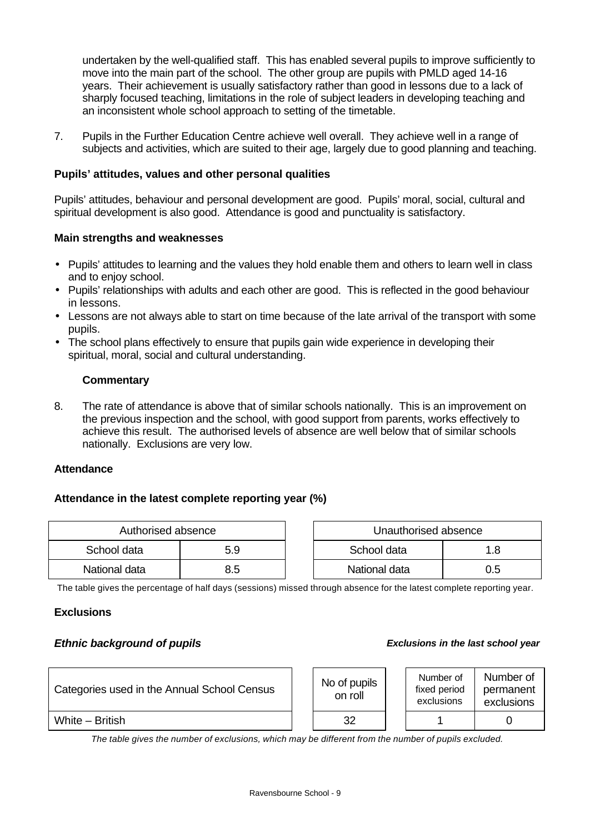undertaken by the well-qualified staff. This has enabled several pupils to improve sufficiently to move into the main part of the school. The other group are pupils with PMLD aged 14-16 years. Their achievement is usually satisfactory rather than good in lessons due to a lack of sharply focused teaching, limitations in the role of subject leaders in developing teaching and an inconsistent whole school approach to setting of the timetable.

7. Pupils in the Further Education Centre achieve well overall. They achieve well in a range of subjects and activities, which are suited to their age, largely due to good planning and teaching.

#### **Pupils' attitudes, values and other personal qualities**

Pupils' attitudes, behaviour and personal development are good. Pupils' moral, social, cultural and spiritual development is also good. Attendance is good and punctuality is satisfactory.

#### **Main strengths and weaknesses**

- Pupils' attitudes to learning and the values they hold enable them and others to learn well in class and to enjoy school.
- Pupils' relationships with adults and each other are good. This is reflected in the good behaviour in lessons.
- Lessons are not always able to start on time because of the late arrival of the transport with some pupils.
- The school plans effectively to ensure that pupils gain wide experience in developing their spiritual, moral, social and cultural understanding.

#### **Commentary**

8. The rate of attendance is above that of similar schools nationally. This is an improvement on the previous inspection and the school, with good support from parents, works effectively to achieve this result. The authorised levels of absence are well below that of similar schools nationally. Exclusions are very low.

#### **Attendance**

### **Attendance in the latest complete reporting year (%)**

| Authorised absence |     |  | Unauthorised absence |     |  |
|--------------------|-----|--|----------------------|-----|--|
| School data        | 5.9 |  | School data<br>l.8   |     |  |
| National data      | 8.5 |  | National data        | ).5 |  |

| Authorised absence |     | Unauthorised absence |     |
|--------------------|-----|----------------------|-----|
| data               | 5.9 | School data          | 1.8 |
| I data             | 8.5 | National data        | 0.5 |

The table gives the percentage of half days (sessions) missed through absence for the latest complete reporting year.

#### **Exclusions**

#### *Ethnic background of pupils Exclusions in the last school year*

| Categories used in the Annual School Census |  | No of pupils<br>on roll |  | Number of<br>fixed period<br>exclusions | Number of<br>permanent<br>exclusions |
|---------------------------------------------|--|-------------------------|--|-----------------------------------------|--------------------------------------|
| White $-$ British                           |  | 32                      |  |                                         |                                      |

*The table gives the number of exclusions, which may be different from the number of pupils excluded.*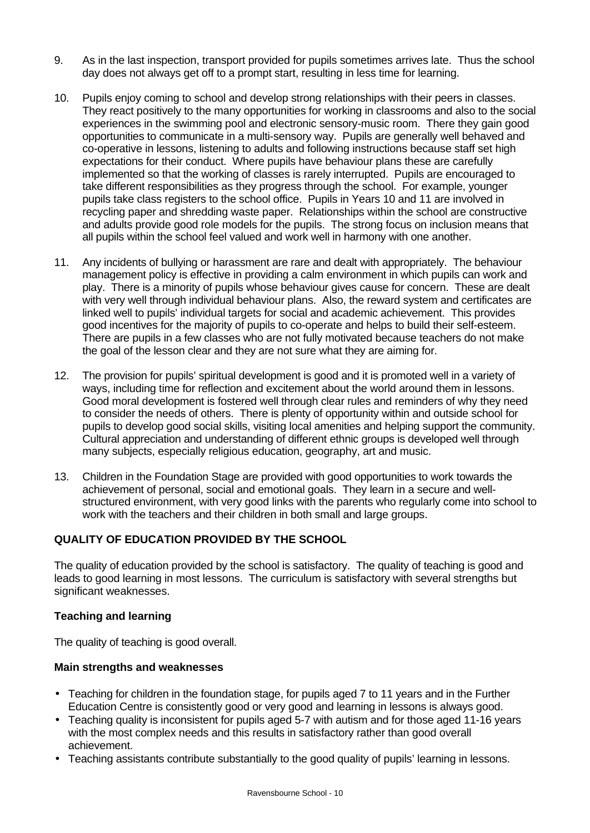- 9. As in the last inspection, transport provided for pupils sometimes arrives late. Thus the school day does not always get off to a prompt start, resulting in less time for learning.
- 10. Pupils enjoy coming to school and develop strong relationships with their peers in classes. They react positively to the many opportunities for working in classrooms and also to the social experiences in the swimming pool and electronic sensory-music room. There they gain good opportunities to communicate in a multi-sensory way. Pupils are generally well behaved and co-operative in lessons, listening to adults and following instructions because staff set high expectations for their conduct. Where pupils have behaviour plans these are carefully implemented so that the working of classes is rarely interrupted. Pupils are encouraged to take different responsibilities as they progress through the school. For example, younger pupils take class registers to the school office. Pupils in Years 10 and 11 are involved in recycling paper and shredding waste paper. Relationships within the school are constructive and adults provide good role models for the pupils. The strong focus on inclusion means that all pupils within the school feel valued and work well in harmony with one another.
- 11. Any incidents of bullying or harassment are rare and dealt with appropriately. The behaviour management policy is effective in providing a calm environment in which pupils can work and play. There is a minority of pupils whose behaviour gives cause for concern. These are dealt with very well through individual behaviour plans. Also, the reward system and certificates are linked well to pupils' individual targets for social and academic achievement. This provides good incentives for the majority of pupils to co-operate and helps to build their self-esteem. There are pupils in a few classes who are not fully motivated because teachers do not make the goal of the lesson clear and they are not sure what they are aiming for.
- 12. The provision for pupils' spiritual development is good and it is promoted well in a variety of ways, including time for reflection and excitement about the world around them in lessons. Good moral development is fostered well through clear rules and reminders of why they need to consider the needs of others. There is plenty of opportunity within and outside school for pupils to develop good social skills, visiting local amenities and helping support the community. Cultural appreciation and understanding of different ethnic groups is developed well through many subjects, especially religious education, geography, art and music.
- 13. Children in the Foundation Stage are provided with good opportunities to work towards the achievement of personal, social and emotional goals. They learn in a secure and wellstructured environment, with very good links with the parents who regularly come into school to work with the teachers and their children in both small and large groups.

# **QUALITY OF EDUCATION PROVIDED BY THE SCHOOL**

The quality of education provided by the school is satisfactory. The quality of teaching is good and leads to good learning in most lessons. The curriculum is satisfactory with several strengths but significant weaknesses.

### **Teaching and learning**

The quality of teaching is good overall.

### **Main strengths and weaknesses**

- Teaching for children in the foundation stage, for pupils aged 7 to 11 years and in the Further Education Centre is consistently good or very good and learning in lessons is always good.
- Teaching quality is inconsistent for pupils aged 5-7 with autism and for those aged 11-16 years with the most complex needs and this results in satisfactory rather than good overall achievement.
- Teaching assistants contribute substantially to the good quality of pupils' learning in lessons.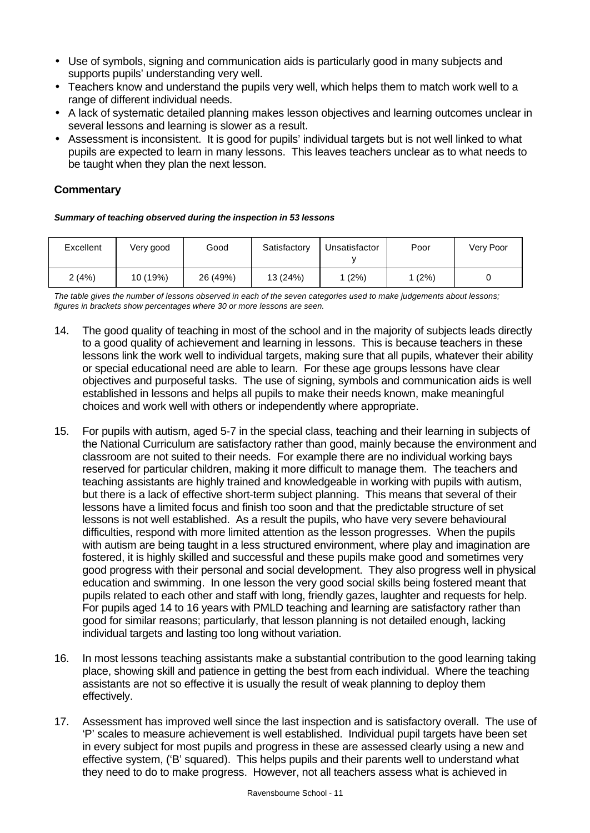- Use of symbols, signing and communication aids is particularly good in many subjects and supports pupils' understanding very well.
- Teachers know and understand the pupils very well, which helps them to match work well to a range of different individual needs.
- A lack of systematic detailed planning makes lesson objectives and learning outcomes unclear in several lessons and learning is slower as a result.
- Assessment is inconsistent. It is good for pupils' individual targets but is not well linked to what pupils are expected to learn in many lessons. This leaves teachers unclear as to what needs to be taught when they plan the next lesson.

# **Commentary**

*Summary of teaching observed during the inspection in 53 lessons*

| Excellent | Very good | Good     | Satisfactory | Unsatisfactor | Poor   | Very Poor |
|-----------|-----------|----------|--------------|---------------|--------|-----------|
| 2(4%)     | 10 (19%)  | 26 (49%) | 13 (24%)     | (2%)          | 1 (2%) |           |

*The table gives the number of lessons observed in each of the seven categories used to make judgements about lessons; figures in brackets show percentages where 30 or more lessons are seen.*

- 14. The good quality of teaching in most of the school and in the majority of subjects leads directly to a good quality of achievement and learning in lessons. This is because teachers in these lessons link the work well to individual targets, making sure that all pupils, whatever their ability or special educational need are able to learn. For these age groups lessons have clear objectives and purposeful tasks. The use of signing, symbols and communication aids is well established in lessons and helps all pupils to make their needs known, make meaningful choices and work well with others or independently where appropriate.
- 15. For pupils with autism, aged 5-7 in the special class, teaching and their learning in subjects of the National Curriculum are satisfactory rather than good, mainly because the environment and classroom are not suited to their needs. For example there are no individual working bays reserved for particular children, making it more difficult to manage them. The teachers and teaching assistants are highly trained and knowledgeable in working with pupils with autism, but there is a lack of effective short-term subject planning. This means that several of their lessons have a limited focus and finish too soon and that the predictable structure of set lessons is not well established. As a result the pupils, who have very severe behavioural difficulties, respond with more limited attention as the lesson progresses. When the pupils with autism are being taught in a less structured environment, where play and imagination are fostered, it is highly skilled and successful and these pupils make good and sometimes very good progress with their personal and social development. They also progress well in physical education and swimming. In one lesson the very good social skills being fostered meant that pupils related to each other and staff with long, friendly gazes, laughter and requests for help. For pupils aged 14 to 16 years with PMLD teaching and learning are satisfactory rather than good for similar reasons; particularly, that lesson planning is not detailed enough, lacking individual targets and lasting too long without variation.
- 16. In most lessons teaching assistants make a substantial contribution to the good learning taking place, showing skill and patience in getting the best from each individual. Where the teaching assistants are not so effective it is usually the result of weak planning to deploy them effectively.
- 17. Assessment has improved well since the last inspection and is satisfactory overall. The use of 'P' scales to measure achievement is well established. Individual pupil targets have been set in every subject for most pupils and progress in these are assessed clearly using a new and effective system, ('B' squared). This helps pupils and their parents well to understand what they need to do to make progress. However, not all teachers assess what is achieved in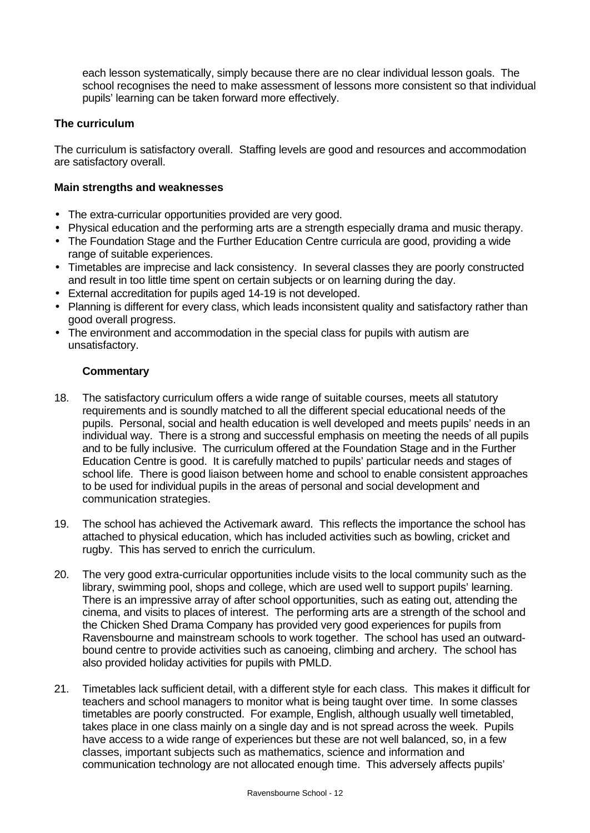each lesson systematically, simply because there are no clear individual lesson goals. The school recognises the need to make assessment of lessons more consistent so that individual pupils' learning can be taken forward more effectively.

# **The curriculum**

The curriculum is satisfactory overall. Staffing levels are good and resources and accommodation are satisfactory overall.

#### **Main strengths and weaknesses**

- The extra-curricular opportunities provided are very good.
- Physical education and the performing arts are a strength especially drama and music therapy.
- The Foundation Stage and the Further Education Centre curricula are good, providing a wide range of suitable experiences.
- Timetables are imprecise and lack consistency. In several classes they are poorly constructed and result in too little time spent on certain subjects or on learning during the day.
- External accreditation for pupils aged 14-19 is not developed.
- Planning is different for every class, which leads inconsistent quality and satisfactory rather than good overall progress.
- The environment and accommodation in the special class for pupils with autism are unsatisfactory.

- 18. The satisfactory curriculum offers a wide range of suitable courses, meets all statutory requirements and is soundly matched to all the different special educational needs of the pupils. Personal, social and health education is well developed and meets pupils' needs in an individual way. There is a strong and successful emphasis on meeting the needs of all pupils and to be fully inclusive. The curriculum offered at the Foundation Stage and in the Further Education Centre is good. It is carefully matched to pupils' particular needs and stages of school life. There is good liaison between home and school to enable consistent approaches to be used for individual pupils in the areas of personal and social development and communication strategies.
- 19. The school has achieved the Activemark award. This reflects the importance the school has attached to physical education, which has included activities such as bowling, cricket and rugby. This has served to enrich the curriculum.
- 20. The very good extra-curricular opportunities include visits to the local community such as the library, swimming pool, shops and college, which are used well to support pupils' learning. There is an impressive array of after school opportunities, such as eating out, attending the cinema, and visits to places of interest. The performing arts are a strength of the school and the Chicken Shed Drama Company has provided very good experiences for pupils from Ravensbourne and mainstream schools to work together. The school has used an outwardbound centre to provide activities such as canoeing, climbing and archery. The school has also provided holiday activities for pupils with PMLD.
- 21. Timetables lack sufficient detail, with a different style for each class. This makes it difficult for teachers and school managers to monitor what is being taught over time. In some classes timetables are poorly constructed. For example, English, although usually well timetabled, takes place in one class mainly on a single day and is not spread across the week. Pupils have access to a wide range of experiences but these are not well balanced, so, in a few classes, important subjects such as mathematics, science and information and communication technology are not allocated enough time. This adversely affects pupils'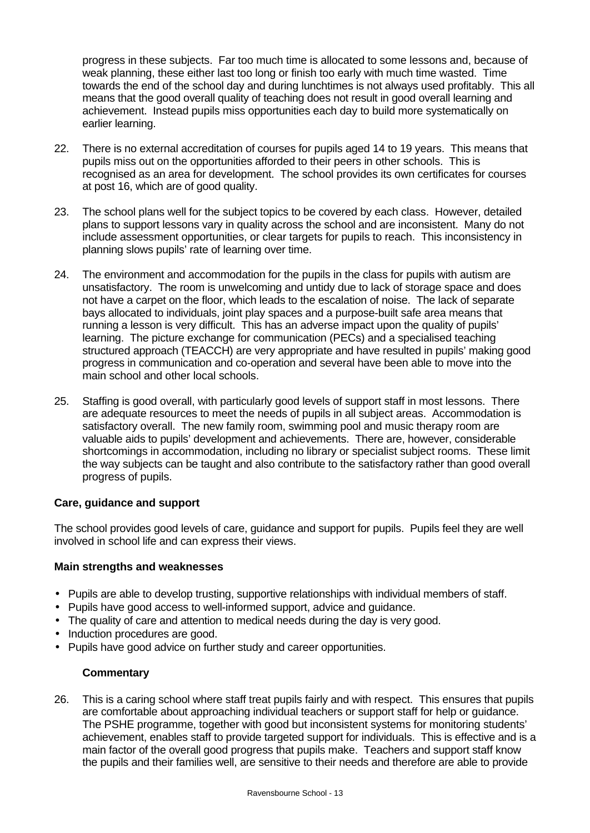progress in these subjects. Far too much time is allocated to some lessons and, because of weak planning, these either last too long or finish too early with much time wasted. Time towards the end of the school day and during lunchtimes is not always used profitably. This all means that the good overall quality of teaching does not result in good overall learning and achievement. Instead pupils miss opportunities each day to build more systematically on earlier learning.

- 22. There is no external accreditation of courses for pupils aged 14 to 19 years. This means that pupils miss out on the opportunities afforded to their peers in other schools. This is recognised as an area for development. The school provides its own certificates for courses at post 16, which are of good quality.
- 23. The school plans well for the subject topics to be covered by each class. However, detailed plans to support lessons vary in quality across the school and are inconsistent. Many do not include assessment opportunities, or clear targets for pupils to reach. This inconsistency in planning slows pupils' rate of learning over time.
- 24. The environment and accommodation for the pupils in the class for pupils with autism are unsatisfactory. The room is unwelcoming and untidy due to lack of storage space and does not have a carpet on the floor, which leads to the escalation of noise. The lack of separate bays allocated to individuals, joint play spaces and a purpose-built safe area means that running a lesson is very difficult. This has an adverse impact upon the quality of pupils' learning. The picture exchange for communication (PECs) and a specialised teaching structured approach (TEACCH) are very appropriate and have resulted in pupils' making good progress in communication and co-operation and several have been able to move into the main school and other local schools.
- 25. Staffing is good overall, with particularly good levels of support staff in most lessons. There are adequate resources to meet the needs of pupils in all subject areas. Accommodation is satisfactory overall. The new family room, swimming pool and music therapy room are valuable aids to pupils' development and achievements. There are, however, considerable shortcomings in accommodation, including no library or specialist subject rooms. These limit the way subjects can be taught and also contribute to the satisfactory rather than good overall progress of pupils.

### **Care, guidance and support**

The school provides good levels of care, guidance and support for pupils. Pupils feel they are well involved in school life and can express their views.

### **Main strengths and weaknesses**

- Pupils are able to develop trusting, supportive relationships with individual members of staff.
- Pupils have good access to well-informed support, advice and guidance.
- The quality of care and attention to medical needs during the day is very good.
- Induction procedures are good.
- Pupils have good advice on further study and career opportunities.

# **Commentary**

26. This is a caring school where staff treat pupils fairly and with respect. This ensures that pupils are comfortable about approaching individual teachers or support staff for help or guidance. The PSHE programme, together with good but inconsistent systems for monitoring students' achievement, enables staff to provide targeted support for individuals. This is effective and is a main factor of the overall good progress that pupils make. Teachers and support staff know the pupils and their families well, are sensitive to their needs and therefore are able to provide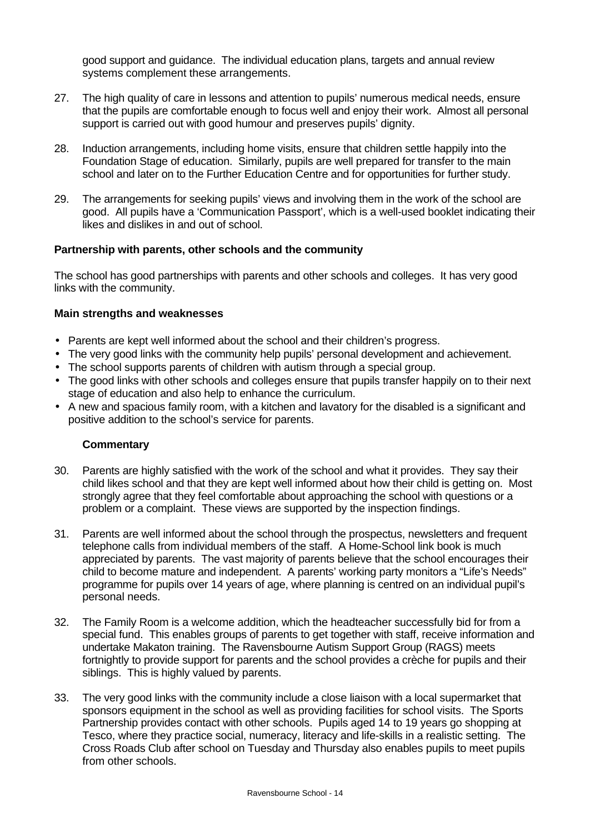good support and guidance. The individual education plans, targets and annual review systems complement these arrangements.

- 27. The high quality of care in lessons and attention to pupils' numerous medical needs, ensure that the pupils are comfortable enough to focus well and enjoy their work. Almost all personal support is carried out with good humour and preserves pupils' dignity.
- 28. Induction arrangements, including home visits, ensure that children settle happily into the Foundation Stage of education. Similarly, pupils are well prepared for transfer to the main school and later on to the Further Education Centre and for opportunities for further study.
- 29. The arrangements for seeking pupils' views and involving them in the work of the school are good. All pupils have a 'Communication Passport', which is a well-used booklet indicating their likes and dislikes in and out of school.

#### **Partnership with parents, other schools and the community**

The school has good partnerships with parents and other schools and colleges. It has very good links with the community.

#### **Main strengths and weaknesses**

- Parents are kept well informed about the school and their children's progress.
- The very good links with the community help pupils' personal development and achievement.
- The school supports parents of children with autism through a special group.
- The good links with other schools and colleges ensure that pupils transfer happily on to their next stage of education and also help to enhance the curriculum.
- A new and spacious family room, with a kitchen and lavatory for the disabled is a significant and positive addition to the school's service for parents.

- 30. Parents are highly satisfied with the work of the school and what it provides. They say their child likes school and that they are kept well informed about how their child is getting on. Most strongly agree that they feel comfortable about approaching the school with questions or a problem or a complaint. These views are supported by the inspection findings.
- 31. Parents are well informed about the school through the prospectus, newsletters and frequent telephone calls from individual members of the staff. A Home-School link book is much appreciated by parents. The vast majority of parents believe that the school encourages their child to become mature and independent. A parents' working party monitors a "Life's Needs" programme for pupils over 14 years of age, where planning is centred on an individual pupil's personal needs.
- 32. The Family Room is a welcome addition, which the headteacher successfully bid for from a special fund. This enables groups of parents to get together with staff, receive information and undertake Makaton training. The Ravensbourne Autism Support Group (RAGS) meets fortnightly to provide support for parents and the school provides a crèche for pupils and their siblings. This is highly valued by parents.
- 33. The very good links with the community include a close liaison with a local supermarket that sponsors equipment in the school as well as providing facilities for school visits. The Sports Partnership provides contact with other schools. Pupils aged 14 to 19 years go shopping at Tesco, where they practice social, numeracy, literacy and life-skills in a realistic setting. The Cross Roads Club after school on Tuesday and Thursday also enables pupils to meet pupils from other schools.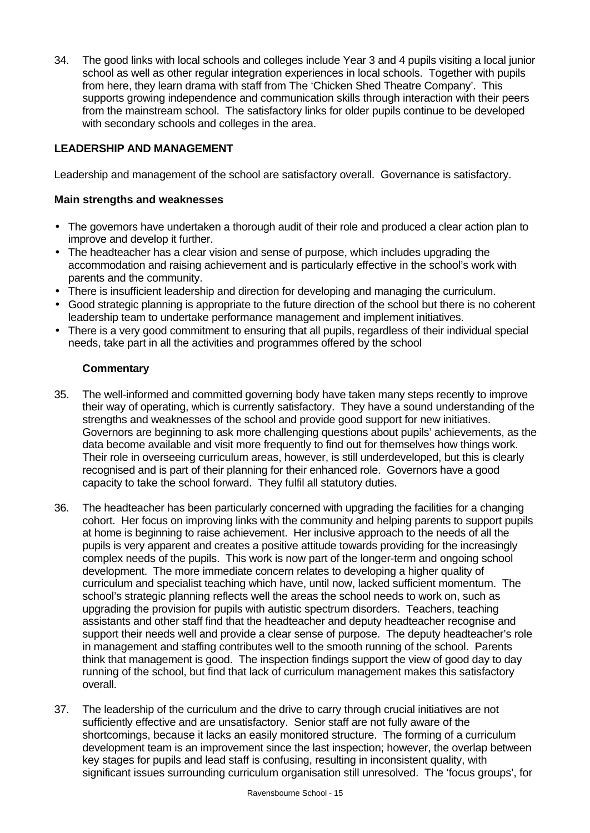34. The good links with local schools and colleges include Year 3 and 4 pupils visiting a local junior school as well as other regular integration experiences in local schools. Together with pupils from here, they learn drama with staff from The 'Chicken Shed Theatre Company'. This supports growing independence and communication skills through interaction with their peers from the mainstream school. The satisfactory links for older pupils continue to be developed with secondary schools and colleges in the area.

# **LEADERSHIP AND MANAGEMENT**

Leadership and management of the school are satisfactory overall. Governance is satisfactory.

#### **Main strengths and weaknesses**

- The governors have undertaken a thorough audit of their role and produced a clear action plan to improve and develop it further.
- The headteacher has a clear vision and sense of purpose, which includes upgrading the accommodation and raising achievement and is particularly effective in the school's work with parents and the community.
- There is insufficient leadership and direction for developing and managing the curriculum.
- Good strategic planning is appropriate to the future direction of the school but there is no coherent leadership team to undertake performance management and implement initiatives.
- There is a very good commitment to ensuring that all pupils, regardless of their individual special needs, take part in all the activities and programmes offered by the school

- 35. The well-informed and committed governing body have taken many steps recently to improve their way of operating, which is currently satisfactory. They have a sound understanding of the strengths and weaknesses of the school and provide good support for new initiatives. Governors are beginning to ask more challenging questions about pupils' achievements, as the data become available and visit more frequently to find out for themselves how things work. Their role in overseeing curriculum areas, however, is still underdeveloped, but this is clearly recognised and is part of their planning for their enhanced role. Governors have a good capacity to take the school forward. They fulfil all statutory duties.
- 36. The headteacher has been particularly concerned with upgrading the facilities for a changing cohort. Her focus on improving links with the community and helping parents to support pupils at home is beginning to raise achievement. Her inclusive approach to the needs of all the pupils is very apparent and creates a positive attitude towards providing for the increasingly complex needs of the pupils. This work is now part of the longer-term and ongoing school development. The more immediate concern relates to developing a higher quality of curriculum and specialist teaching which have, until now, lacked sufficient momentum. The school's strategic planning reflects well the areas the school needs to work on, such as upgrading the provision for pupils with autistic spectrum disorders. Teachers, teaching assistants and other staff find that the headteacher and deputy headteacher recognise and support their needs well and provide a clear sense of purpose. The deputy headteacher's role in management and staffing contributes well to the smooth running of the school. Parents think that management is good. The inspection findings support the view of good day to day running of the school, but find that lack of curriculum management makes this satisfactory overall.
- 37. The leadership of the curriculum and the drive to carry through crucial initiatives are not sufficiently effective and are unsatisfactory. Senior staff are not fully aware of the shortcomings, because it lacks an easily monitored structure. The forming of a curriculum development team is an improvement since the last inspection; however, the overlap between key stages for pupils and lead staff is confusing, resulting in inconsistent quality, with significant issues surrounding curriculum organisation still unresolved. The 'focus groups', for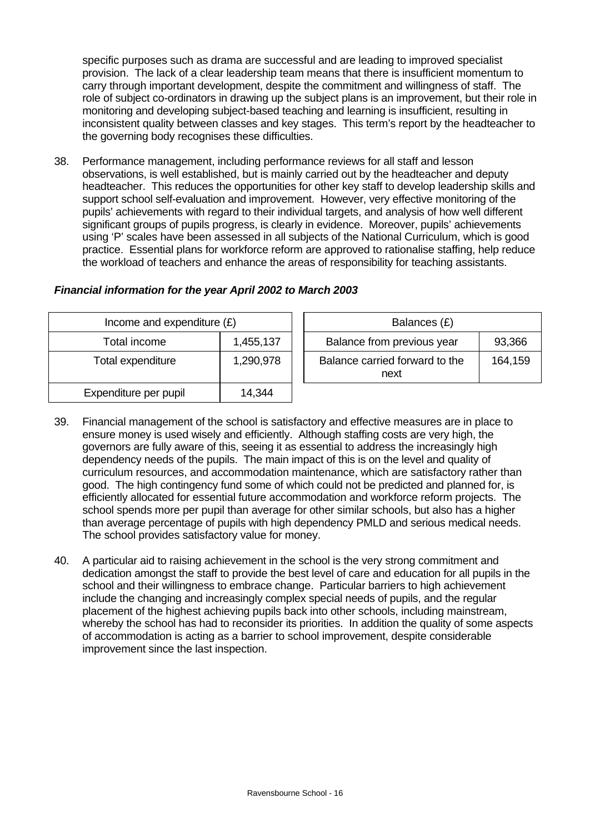specific purposes such as drama are successful and are leading to improved specialist provision. The lack of a clear leadership team means that there is insufficient momentum to carry through important development, despite the commitment and willingness of staff. The role of subject co-ordinators in drawing up the subject plans is an improvement, but their role in monitoring and developing subject-based teaching and learning is insufficient, resulting in inconsistent quality between classes and key stages. This term's report by the headteacher to the governing body recognises these difficulties.

38. Performance management, including performance reviews for all staff and lesson observations, is well established, but is mainly carried out by the headteacher and deputy headteacher. This reduces the opportunities for other key staff to develop leadership skills and support school self-evaluation and improvement. However, very effective monitoring of the pupils' achievements with regard to their individual targets, and analysis of how well different significant groups of pupils progress, is clearly in evidence. Moreover, pupils' achievements using 'P' scales have been assessed in all subjects of the National Curriculum, which is good practice. Essential plans for workforce reform are approved to rationalise staffing, help reduce the workload of teachers and enhance the areas of responsibility for teaching assistants.

| Income and expenditure $(E)$ |           |  | Balances (£)                           |         |  |
|------------------------------|-----------|--|----------------------------------------|---------|--|
| Total income                 | 1,455,137 |  | Balance from previous year             | 93,366  |  |
| Total expenditure            | 1,290,978 |  | Balance carried forward to the<br>next | 164,159 |  |
| Expenditure per pupil        | 14,344    |  |                                        |         |  |

# *Financial information for the year April 2002 to March 2003*

- 39. Financial management of the school is satisfactory and effective measures are in place to ensure money is used wisely and efficiently. Although staffing costs are very high, the governors are fully aware of this, seeing it as essential to address the increasingly high dependency needs of the pupils. The main impact of this is on the level and quality of curriculum resources, and accommodation maintenance, which are satisfactory rather than good. The high contingency fund some of which could not be predicted and planned for, is efficiently allocated for essential future accommodation and workforce reform projects. The school spends more per pupil than average for other similar schools, but also has a higher than average percentage of pupils with high dependency PMLD and serious medical needs. The school provides satisfactory value for money.
- 40. A particular aid to raising achievement in the school is the very strong commitment and dedication amongst the staff to provide the best level of care and education for all pupils in the school and their willingness to embrace change. Particular barriers to high achievement include the changing and increasingly complex special needs of pupils, and the regular placement of the highest achieving pupils back into other schools, including mainstream, whereby the school has had to reconsider its priorities. In addition the quality of some aspects of accommodation is acting as a barrier to school improvement, despite considerable improvement since the last inspection.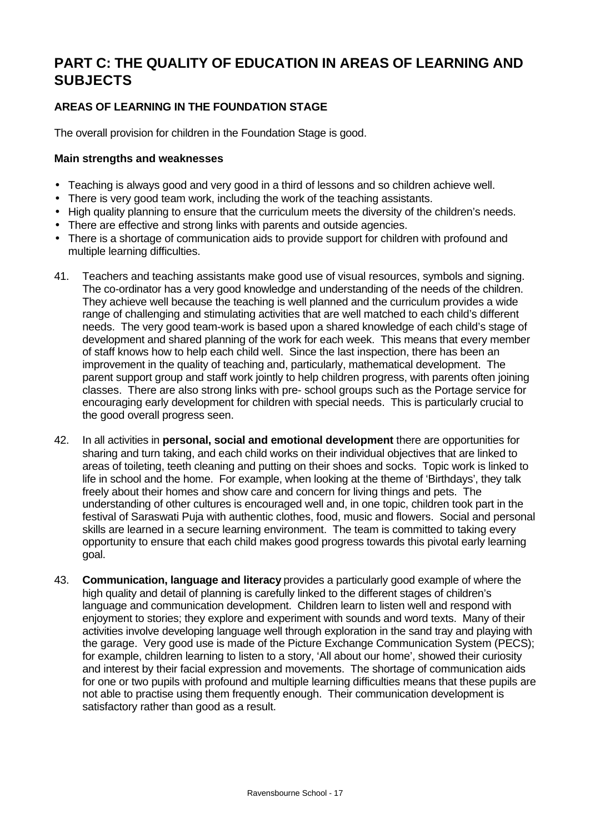# **PART C: THE QUALITY OF EDUCATION IN AREAS OF LEARNING AND SUBJECTS**

# **AREAS OF LEARNING IN THE FOUNDATION STAGE**

The overall provision for children in the Foundation Stage is good.

# **Main strengths and weaknesses**

- Teaching is always good and very good in a third of lessons and so children achieve well.
- There is very good team work, including the work of the teaching assistants.
- High quality planning to ensure that the curriculum meets the diversity of the children's needs.
- There are effective and strong links with parents and outside agencies.
- There is a shortage of communication aids to provide support for children with profound and multiple learning difficulties.
- 41. Teachers and teaching assistants make good use of visual resources, symbols and signing. The co-ordinator has a very good knowledge and understanding of the needs of the children. They achieve well because the teaching is well planned and the curriculum provides a wide range of challenging and stimulating activities that are well matched to each child's different needs. The very good team-work is based upon a shared knowledge of each child's stage of development and shared planning of the work for each week. This means that every member of staff knows how to help each child well. Since the last inspection, there has been an improvement in the quality of teaching and, particularly, mathematical development. The parent support group and staff work jointly to help children progress, with parents often joining classes. There are also strong links with pre- school groups such as the Portage service for encouraging early development for children with special needs. This is particularly crucial to the good overall progress seen.
- 42. In all activities in **personal, social and emotional development** there are opportunities for sharing and turn taking, and each child works on their individual objectives that are linked to areas of toileting, teeth cleaning and putting on their shoes and socks. Topic work is linked to life in school and the home. For example, when looking at the theme of 'Birthdays', they talk freely about their homes and show care and concern for living things and pets. The understanding of other cultures is encouraged well and, in one topic, children took part in the festival of Saraswati Puja with authentic clothes, food, music and flowers. Social and personal skills are learned in a secure learning environment. The team is committed to taking every opportunity to ensure that each child makes good progress towards this pivotal early learning goal.
- 43. **Communication, language and literacy** provides a particularly good example of where the high quality and detail of planning is carefully linked to the different stages of children's language and communication development. Children learn to listen well and respond with enjoyment to stories; they explore and experiment with sounds and word texts. Many of their activities involve developing language well through exploration in the sand tray and playing with the garage. Very good use is made of the Picture Exchange Communication System (PECS); for example, children learning to listen to a story, 'All about our home', showed their curiosity and interest by their facial expression and movements. The shortage of communication aids for one or two pupils with profound and multiple learning difficulties means that these pupils are not able to practise using them frequently enough. Their communication development is satisfactory rather than good as a result.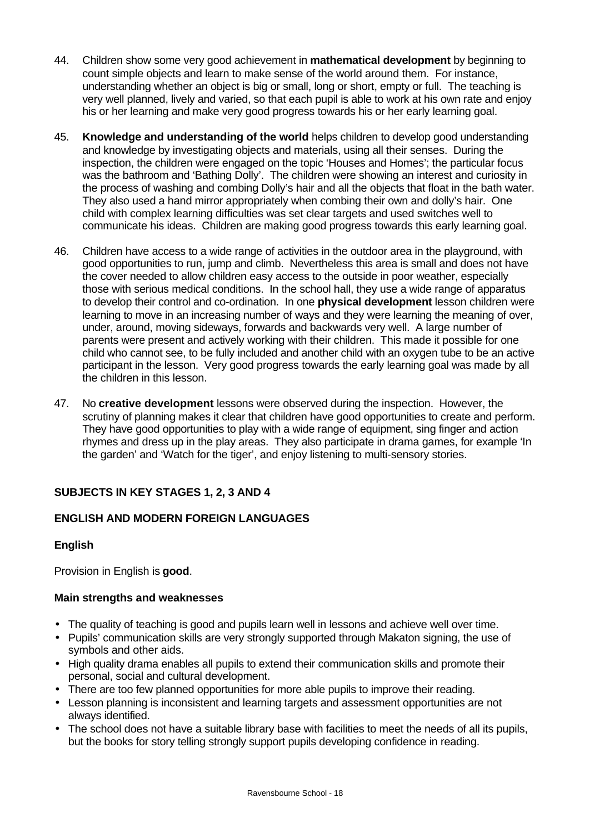- 44. Children show some very good achievement in **mathematical development** by beginning to count simple objects and learn to make sense of the world around them. For instance, understanding whether an object is big or small, long or short, empty or full. The teaching is very well planned, lively and varied, so that each pupil is able to work at his own rate and enjoy his or her learning and make very good progress towards his or her early learning goal.
- 45. **Knowledge and understanding of the world** helps children to develop good understanding and knowledge by investigating objects and materials, using all their senses. During the inspection, the children were engaged on the topic 'Houses and Homes'; the particular focus was the bathroom and 'Bathing Dolly'. The children were showing an interest and curiosity in the process of washing and combing Dolly's hair and all the objects that float in the bath water. They also used a hand mirror appropriately when combing their own and dolly's hair. One child with complex learning difficulties was set clear targets and used switches well to communicate his ideas. Children are making good progress towards this early learning goal.
- 46. Children have access to a wide range of activities in the outdoor area in the playground, with good opportunities to run, jump and climb. Nevertheless this area is small and does not have the cover needed to allow children easy access to the outside in poor weather, especially those with serious medical conditions. In the school hall, they use a wide range of apparatus to develop their control and co-ordination. In one **physical development** lesson children were learning to move in an increasing number of ways and they were learning the meaning of over, under, around, moving sideways, forwards and backwards very well. A large number of parents were present and actively working with their children. This made it possible for one child who cannot see, to be fully included and another child with an oxygen tube to be an active participant in the lesson. Very good progress towards the early learning goal was made by all the children in this lesson.
- 47. No **creative development** lessons were observed during the inspection. However, the scrutiny of planning makes it clear that children have good opportunities to create and perform. They have good opportunities to play with a wide range of equipment, sing finger and action rhymes and dress up in the play areas. They also participate in drama games, for example 'In the garden' and 'Watch for the tiger', and enjoy listening to multi-sensory stories.

# **SUBJECTS IN KEY STAGES 1, 2, 3 AND 4**

# **ENGLISH AND MODERN FOREIGN LANGUAGES**

# **English**

Provision in English is **good**.

### **Main strengths and weaknesses**

- The quality of teaching is good and pupils learn well in lessons and achieve well over time.
- Pupils' communication skills are very strongly supported through Makaton signing, the use of symbols and other aids.
- High quality drama enables all pupils to extend their communication skills and promote their personal, social and cultural development.
- There are too few planned opportunities for more able pupils to improve their reading.
- Lesson planning is inconsistent and learning targets and assessment opportunities are not always identified.
- The school does not have a suitable library base with facilities to meet the needs of all its pupils, but the books for story telling strongly support pupils developing confidence in reading.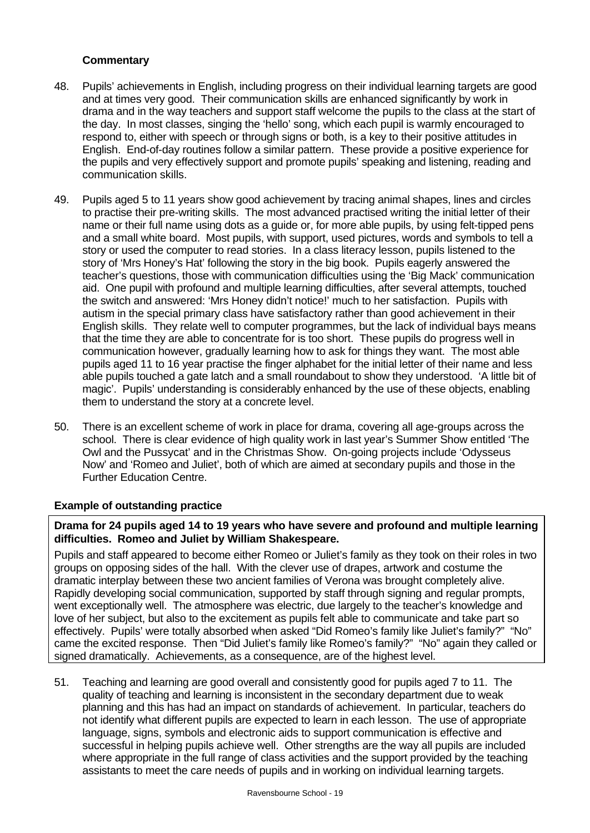# **Commentary**

- 48. Pupils' achievements in English, including progress on their individual learning targets are good and at times very good. Their communication skills are enhanced significantly by work in drama and in the way teachers and support staff welcome the pupils to the class at the start of the day. In most classes, singing the 'hello' song, which each pupil is warmly encouraged to respond to, either with speech or through signs or both, is a key to their positive attitudes in English. End-of-day routines follow a similar pattern. These provide a positive experience for the pupils and very effectively support and promote pupils' speaking and listening, reading and communication skills.
- 49. Pupils aged 5 to 11 years show good achievement by tracing animal shapes, lines and circles to practise their pre-writing skills. The most advanced practised writing the initial letter of their name or their full name using dots as a guide or, for more able pupils, by using felt-tipped pens and a small white board. Most pupils, with support, used pictures, words and symbols to tell a story or used the computer to read stories. In a class literacy lesson, pupils listened to the story of 'Mrs Honey's Hat' following the story in the big book. Pupils eagerly answered the teacher's questions, those with communication difficulties using the 'Big Mack' communication aid. One pupil with profound and multiple learning difficulties, after several attempts, touched the switch and answered: 'Mrs Honey didn't notice!' much to her satisfaction. Pupils with autism in the special primary class have satisfactory rather than good achievement in their English skills. They relate well to computer programmes, but the lack of individual bays means that the time they are able to concentrate for is too short. These pupils do progress well in communication however, gradually learning how to ask for things they want. The most able pupils aged 11 to 16 year practise the finger alphabet for the initial letter of their name and less able pupils touched a gate latch and a small roundabout to show they understood. 'A little bit of magic'. Pupils' understanding is considerably enhanced by the use of these objects, enabling them to understand the story at a concrete level.
- 50. There is an excellent scheme of work in place for drama, covering all age-groups across the school. There is clear evidence of high quality work in last year's Summer Show entitled 'The Owl and the Pussycat' and in the Christmas Show. On-going projects include 'Odysseus Now' and 'Romeo and Juliet', both of which are aimed at secondary pupils and those in the Further Education Centre.

# **Example of outstanding practice**

# **Drama for 24 pupils aged 14 to 19 years who have severe and profound and multiple learning difficulties. Romeo and Juliet by William Shakespeare.**

Pupils and staff appeared to become either Romeo or Juliet's family as they took on their roles in two groups on opposing sides of the hall. With the clever use of drapes, artwork and costume the dramatic interplay between these two ancient families of Verona was brought completely alive. Rapidly developing social communication, supported by staff through signing and regular prompts, went exceptionally well. The atmosphere was electric, due largely to the teacher's knowledge and love of her subject, but also to the excitement as pupils felt able to communicate and take part so effectively. Pupils' were totally absorbed when asked "Did Romeo's family like Juliet's family?" "No" came the excited response. Then "Did Juliet's family like Romeo's family?" "No" again they called or signed dramatically. Achievements, as a consequence, are of the highest level.

51. Teaching and learning are good overall and consistently good for pupils aged 7 to 11. The quality of teaching and learning is inconsistent in the secondary department due to weak planning and this has had an impact on standards of achievement. In particular, teachers do not identify what different pupils are expected to learn in each lesson. The use of appropriate language, signs, symbols and electronic aids to support communication is effective and successful in helping pupils achieve well. Other strengths are the way all pupils are included where appropriate in the full range of class activities and the support provided by the teaching assistants to meet the care needs of pupils and in working on individual learning targets.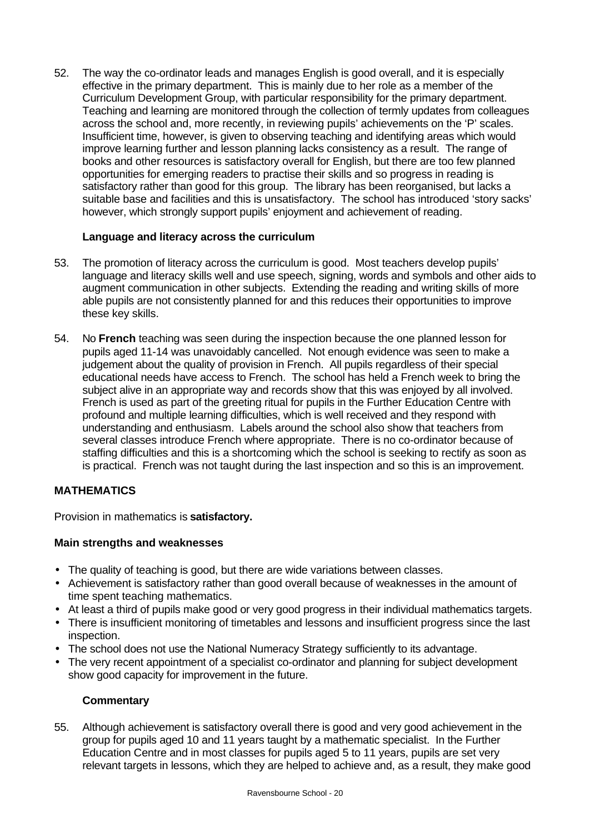52. The way the co-ordinator leads and manages English is good overall, and it is especially effective in the primary department. This is mainly due to her role as a member of the Curriculum Development Group, with particular responsibility for the primary department. Teaching and learning are monitored through the collection of termly updates from colleagues across the school and, more recently, in reviewing pupils' achievements on the 'P' scales. Insufficient time, however, is given to observing teaching and identifying areas which would improve learning further and lesson planning lacks consistency as a result. The range of books and other resources is satisfactory overall for English, but there are too few planned opportunities for emerging readers to practise their skills and so progress in reading is satisfactory rather than good for this group. The library has been reorganised, but lacks a suitable base and facilities and this is unsatisfactory. The school has introduced 'story sacks' however, which strongly support pupils' enjoyment and achievement of reading.

# **Language and literacy across the curriculum**

- 53. The promotion of literacy across the curriculum is good. Most teachers develop pupils' language and literacy skills well and use speech, signing, words and symbols and other aids to augment communication in other subjects. Extending the reading and writing skills of more able pupils are not consistently planned for and this reduces their opportunities to improve these key skills.
- 54. No **French** teaching was seen during the inspection because the one planned lesson for pupils aged 11-14 was unavoidably cancelled. Not enough evidence was seen to make a judgement about the quality of provision in French. All pupils regardless of their special educational needs have access to French. The school has held a French week to bring the subject alive in an appropriate way and records show that this was enjoyed by all involved. French is used as part of the greeting ritual for pupils in the Further Education Centre with profound and multiple learning difficulties, which is well received and they respond with understanding and enthusiasm. Labels around the school also show that teachers from several classes introduce French where appropriate. There is no co-ordinator because of staffing difficulties and this is a shortcoming which the school is seeking to rectify as soon as is practical. French was not taught during the last inspection and so this is an improvement.

# **MATHEMATICS**

Provision in mathematics is **satisfactory.**

# **Main strengths and weaknesses**

- The quality of teaching is good, but there are wide variations between classes.
- Achievement is satisfactory rather than good overall because of weaknesses in the amount of time spent teaching mathematics.
- At least a third of pupils make good or very good progress in their individual mathematics targets.
- There is insufficient monitoring of timetables and lessons and insufficient progress since the last inspection.
- The school does not use the National Numeracy Strategy sufficiently to its advantage.
- The very recent appointment of a specialist co-ordinator and planning for subject development show good capacity for improvement in the future.

### **Commentary**

55. Although achievement is satisfactory overall there is good and very good achievement in the group for pupils aged 10 and 11 years taught by a mathematic specialist. In the Further Education Centre and in most classes for pupils aged 5 to 11 years, pupils are set very relevant targets in lessons, which they are helped to achieve and, as a result, they make good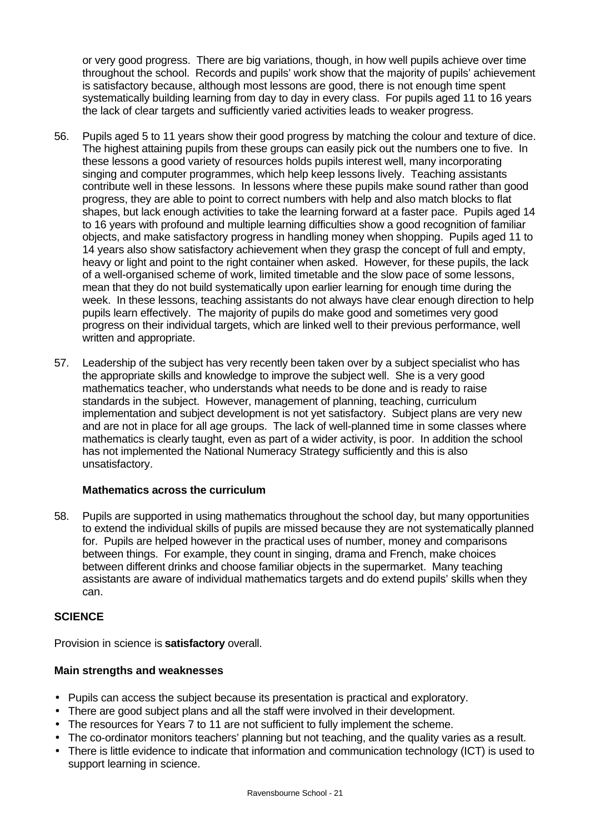or very good progress. There are big variations, though, in how well pupils achieve over time throughout the school. Records and pupils' work show that the majority of pupils' achievement is satisfactory because, although most lessons are good, there is not enough time spent systematically building learning from day to day in every class. For pupils aged 11 to 16 years the lack of clear targets and sufficiently varied activities leads to weaker progress.

- 56. Pupils aged 5 to 11 years show their good progress by matching the colour and texture of dice. The highest attaining pupils from these groups can easily pick out the numbers one to five. In these lessons a good variety of resources holds pupils interest well, many incorporating singing and computer programmes, which help keep lessons lively. Teaching assistants contribute well in these lessons. In lessons where these pupils make sound rather than good progress, they are able to point to correct numbers with help and also match blocks to flat shapes, but lack enough activities to take the learning forward at a faster pace. Pupils aged 14 to 16 years with profound and multiple learning difficulties show a good recognition of familiar objects, and make satisfactory progress in handling money when shopping. Pupils aged 11 to 14 years also show satisfactory achievement when they grasp the concept of full and empty, heavy or light and point to the right container when asked. However, for these pupils, the lack of a well-organised scheme of work, limited timetable and the slow pace of some lessons, mean that they do not build systematically upon earlier learning for enough time during the week. In these lessons, teaching assistants do not always have clear enough direction to help pupils learn effectively. The majority of pupils do make good and sometimes very good progress on their individual targets, which are linked well to their previous performance, well written and appropriate.
- 57. Leadership of the subject has very recently been taken over by a subject specialist who has the appropriate skills and knowledge to improve the subject well. She is a very good mathematics teacher, who understands what needs to be done and is ready to raise standards in the subject. However, management of planning, teaching, curriculum implementation and subject development is not yet satisfactory. Subject plans are very new and are not in place for all age groups. The lack of well-planned time in some classes where mathematics is clearly taught, even as part of a wider activity, is poor. In addition the school has not implemented the National Numeracy Strategy sufficiently and this is also unsatisfactory.

### **Mathematics across the curriculum**

58. Pupils are supported in using mathematics throughout the school day, but many opportunities to extend the individual skills of pupils are missed because they are not systematically planned for. Pupils are helped however in the practical uses of number, money and comparisons between things. For example, they count in singing, drama and French, make choices between different drinks and choose familiar objects in the supermarket. Many teaching assistants are aware of individual mathematics targets and do extend pupils' skills when they can.

# **SCIENCE**

Provision in science is **satisfactory** overall.

### **Main strengths and weaknesses**

- Pupils can access the subject because its presentation is practical and exploratory.
- There are good subject plans and all the staff were involved in their development.
- The resources for Years 7 to 11 are not sufficient to fully implement the scheme.
- The co-ordinator monitors teachers' planning but not teaching, and the quality varies as a result.
- There is little evidence to indicate that information and communication technology (ICT) is used to support learning in science.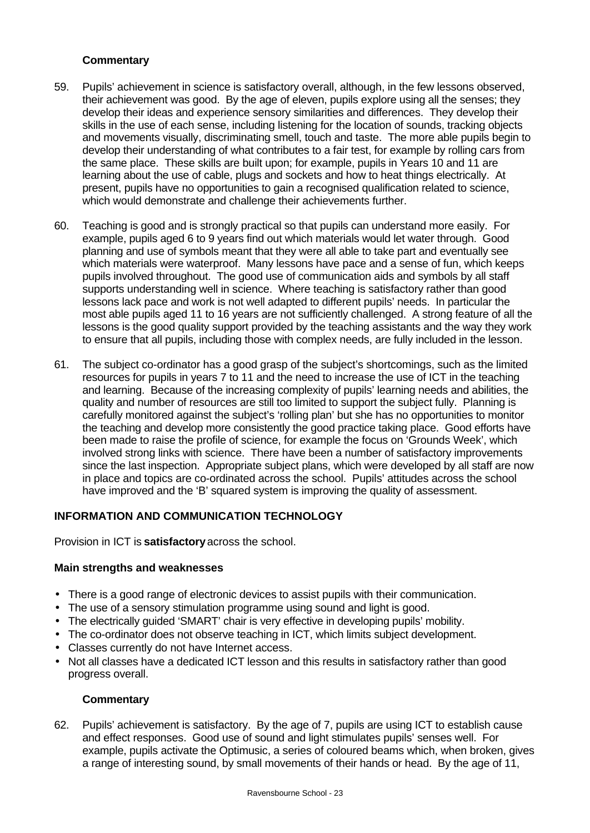# **Commentary**

- 59. Pupils' achievement in science is satisfactory overall, although, in the few lessons observed, their achievement was good. By the age of eleven, pupils explore using all the senses; they develop their ideas and experience sensory similarities and differences. They develop their skills in the use of each sense, including listening for the location of sounds, tracking objects and movements visually, discriminating smell, touch and taste. The more able pupils begin to develop their understanding of what contributes to a fair test, for example by rolling cars from the same place. These skills are built upon; for example, pupils in Years 10 and 11 are learning about the use of cable, plugs and sockets and how to heat things electrically. At present, pupils have no opportunities to gain a recognised qualification related to science, which would demonstrate and challenge their achievements further.
- 60. Teaching is good and is strongly practical so that pupils can understand more easily. For example, pupils aged 6 to 9 years find out which materials would let water through. Good planning and use of symbols meant that they were all able to take part and eventually see which materials were waterproof. Many lessons have pace and a sense of fun, which keeps pupils involved throughout. The good use of communication aids and symbols by all staff supports understanding well in science. Where teaching is satisfactory rather than good lessons lack pace and work is not well adapted to different pupils' needs. In particular the most able pupils aged 11 to 16 years are not sufficiently challenged. A strong feature of all the lessons is the good quality support provided by the teaching assistants and the way they work to ensure that all pupils, including those with complex needs, are fully included in the lesson.
- 61. The subject co-ordinator has a good grasp of the subject's shortcomings, such as the limited resources for pupils in years 7 to 11 and the need to increase the use of ICT in the teaching and learning. Because of the increasing complexity of pupils' learning needs and abilities, the quality and number of resources are still too limited to support the subject fully. Planning is carefully monitored against the subject's 'rolling plan' but she has no opportunities to monitor the teaching and develop more consistently the good practice taking place. Good efforts have been made to raise the profile of science, for example the focus on 'Grounds Week', which involved strong links with science. There have been a number of satisfactory improvements since the last inspection. Appropriate subject plans, which were developed by all staff are now in place and topics are co-ordinated across the school. Pupils' attitudes across the school have improved and the 'B' squared system is improving the quality of assessment.

# **INFORMATION AND COMMUNICATION TECHNOLOGY**

Provision in ICT is **satisfactory** across the school.

# **Main strengths and weaknesses**

- There is a good range of electronic devices to assist pupils with their communication.
- The use of a sensory stimulation programme using sound and light is good.
- The electrically guided 'SMART' chair is very effective in developing pupils' mobility.
- The co-ordinator does not observe teaching in ICT, which limits subject development.
- Classes currently do not have Internet access.
- Not all classes have a dedicated ICT lesson and this results in satisfactory rather than good progress overall.

#### **Commentary**

62. Pupils' achievement is satisfactory. By the age of 7, pupils are using ICT to establish cause and effect responses. Good use of sound and light stimulates pupils' senses well. For example, pupils activate the Optimusic, a series of coloured beams which, when broken, gives a range of interesting sound, by small movements of their hands or head. By the age of 11,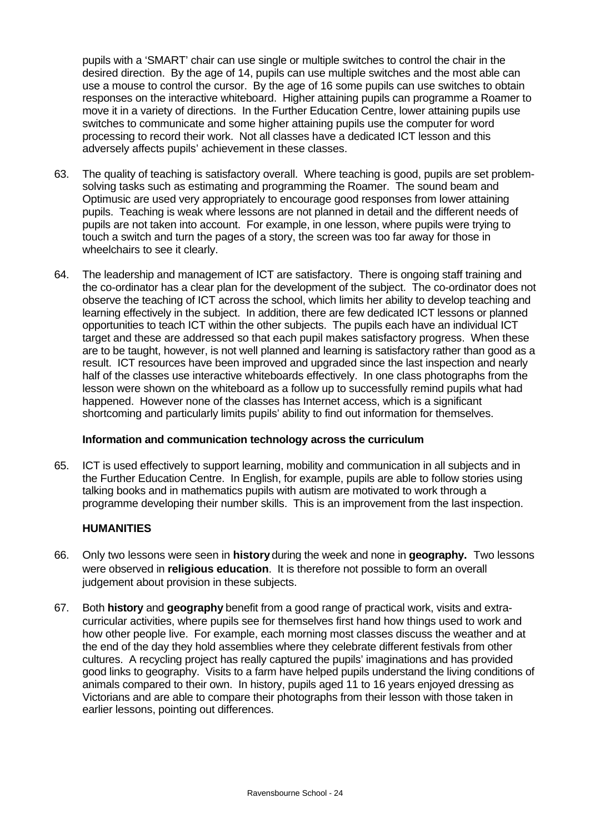pupils with a 'SMART' chair can use single or multiple switches to control the chair in the desired direction. By the age of 14, pupils can use multiple switches and the most able can use a mouse to control the cursor. By the age of 16 some pupils can use switches to obtain responses on the interactive whiteboard. Higher attaining pupils can programme a Roamer to move it in a variety of directions. In the Further Education Centre, lower attaining pupils use switches to communicate and some higher attaining pupils use the computer for word processing to record their work. Not all classes have a dedicated ICT lesson and this adversely affects pupils' achievement in these classes.

- 63. The quality of teaching is satisfactory overall. Where teaching is good, pupils are set problemsolving tasks such as estimating and programming the Roamer. The sound beam and Optimusic are used very appropriately to encourage good responses from lower attaining pupils. Teaching is weak where lessons are not planned in detail and the different needs of pupils are not taken into account. For example, in one lesson, where pupils were trying to touch a switch and turn the pages of a story, the screen was too far away for those in wheelchairs to see it clearly.
- 64. The leadership and management of ICT are satisfactory. There is ongoing staff training and the co-ordinator has a clear plan for the development of the subject. The co-ordinator does not observe the teaching of ICT across the school, which limits her ability to develop teaching and learning effectively in the subject. In addition, there are few dedicated ICT lessons or planned opportunities to teach ICT within the other subjects. The pupils each have an individual ICT target and these are addressed so that each pupil makes satisfactory progress. When these are to be taught, however, is not well planned and learning is satisfactory rather than good as a result. ICT resources have been improved and upgraded since the last inspection and nearly half of the classes use interactive whiteboards effectively. In one class photographs from the lesson were shown on the whiteboard as a follow up to successfully remind pupils what had happened. However none of the classes has Internet access, which is a significant shortcoming and particularly limits pupils' ability to find out information for themselves.

### **Information and communication technology across the curriculum**

65. ICT is used effectively to support learning, mobility and communication in all subjects and in the Further Education Centre. In English, for example, pupils are able to follow stories using talking books and in mathematics pupils with autism are motivated to work through a programme developing their number skills. This is an improvement from the last inspection.

# **HUMANITIES**

- 66. Only two lessons were seen in **history** during the week and none in **geography.** Two lessons were observed in **religious education**. It is therefore not possible to form an overall judgement about provision in these subjects.
- 67. Both **history** and **geography** benefit from a good range of practical work, visits and extracurricular activities, where pupils see for themselves first hand how things used to work and how other people live. For example, each morning most classes discuss the weather and at the end of the day they hold assemblies where they celebrate different festivals from other cultures. A recycling project has really captured the pupils' imaginations and has provided good links to geography. Visits to a farm have helped pupils understand the living conditions of animals compared to their own. In history, pupils aged 11 to 16 years enjoyed dressing as Victorians and are able to compare their photographs from their lesson with those taken in earlier lessons, pointing out differences.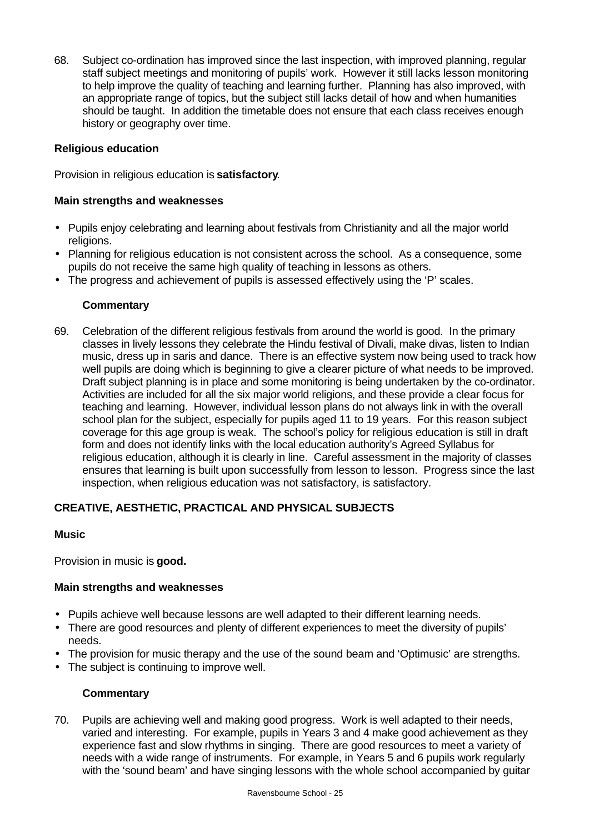68. Subject co-ordination has improved since the last inspection, with improved planning, regular staff subject meetings and monitoring of pupils' work. However it still lacks lesson monitoring to help improve the quality of teaching and learning further. Planning has also improved, with an appropriate range of topics, but the subject still lacks detail of how and when humanities should be taught. In addition the timetable does not ensure that each class receives enough history or geography over time.

# **Religious education**

Provision in religious education is **satisfactory**.

# **Main strengths and weaknesses**

- Pupils enjoy celebrating and learning about festivals from Christianity and all the major world religions.
- Planning for religious education is not consistent across the school. As a consequence, some pupils do not receive the same high quality of teaching in lessons as others.
- The progress and achievement of pupils is assessed effectively using the 'P' scales.

### **Commentary**

69. Celebration of the different religious festivals from around the world is good. In the primary classes in lively lessons they celebrate the Hindu festival of Divali, make divas, listen to Indian music, dress up in saris and dance. There is an effective system now being used to track how well pupils are doing which is beginning to give a clearer picture of what needs to be improved. Draft subject planning is in place and some monitoring is being undertaken by the co-ordinator. Activities are included for all the six major world religions, and these provide a clear focus for teaching and learning. However, individual lesson plans do not always link in with the overall school plan for the subject, especially for pupils aged 11 to 19 years. For this reason subject coverage for this age group is weak. The school's policy for religious education is still in draft form and does not identify links with the local education authority's Agreed Syllabus for religious education, although it is clearly in line. Careful assessment in the majority of classes ensures that learning is built upon successfully from lesson to lesson. Progress since the last inspection, when religious education was not satisfactory, is satisfactory.

# **CREATIVE, AESTHETIC, PRACTICAL AND PHYSICAL SUBJECTS**

### **Music**

Provision in music is **good.**

### **Main strengths and weaknesses**

- Pupils achieve well because lessons are well adapted to their different learning needs.
- There are good resources and plenty of different experiences to meet the diversity of pupils' needs.
- The provision for music therapy and the use of the sound beam and 'Optimusic' are strengths.
- The subject is continuing to improve well.

### **Commentary**

70. Pupils are achieving well and making good progress. Work is well adapted to their needs, varied and interesting. For example, pupils in Years 3 and 4 make good achievement as they experience fast and slow rhythms in singing. There are good resources to meet a variety of needs with a wide range of instruments. For example, in Years 5 and 6 pupils work regularly with the 'sound beam' and have singing lessons with the whole school accompanied by guitar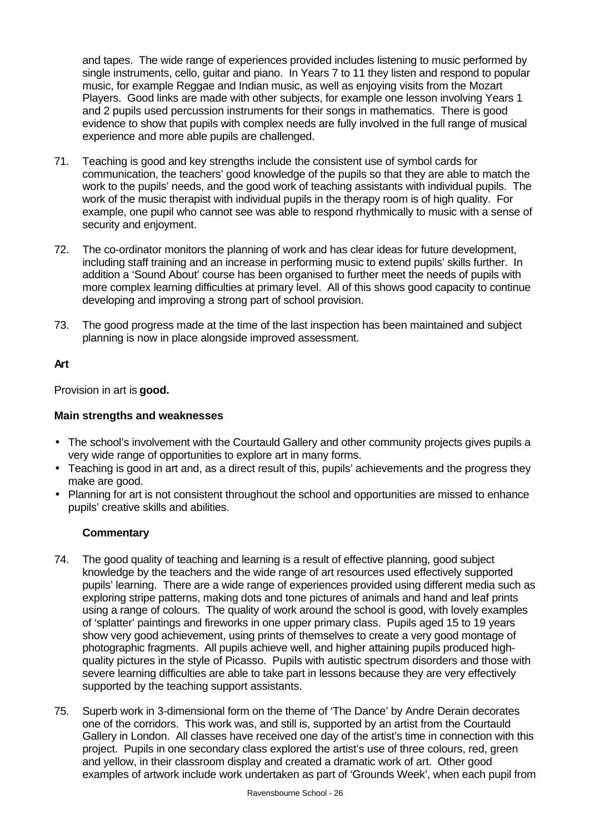and tapes. The wide range of experiences provided includes listening to music performed by single instruments, cello, guitar and piano. In Years 7 to 11 they listen and respond to popular music, for example Reggae and Indian music, as well as enjoying visits from the Mozart Players. Good links are made with other subjects, for example one lesson involving Years 1 and 2 pupils used percussion instruments for their songs in mathematics. There is good evidence to show that pupils with complex needs are fully involved in the full range of musical experience and more able pupils are challenged.

- 71. Teaching is good and key strengths include the consistent use of symbol cards for communication, the teachers' good knowledge of the pupils so that they are able to match the work to the pupils' needs, and the good work of teaching assistants with individual pupils. The work of the music therapist with individual pupils in the therapy room is of high quality. For example, one pupil who cannot see was able to respond rhythmically to music with a sense of security and enjoyment.
- 72. The co-ordinator monitors the planning of work and has clear ideas for future development, including staff training and an increase in performing music to extend pupils' skills further. In addition a 'Sound About' course has been organised to further meet the needs of pupils with more complex learning difficulties at primary level. All of this shows good capacity to continue developing and improving a strong part of school provision.
- 73. The good progress made at the time of the last inspection has been maintained and subject planning is now in place alongside improved assessment.

# **Art**

Provision in art is **good.**

# **Main strengths and weaknesses**

- The school's involvement with the Courtauld Gallery and other community projects gives pupils a very wide range of opportunities to explore art in many forms.
- Teaching is good in art and, as a direct result of this, pupils' achievements and the progress they make are good.
- Planning for art is not consistent throughout the school and opportunities are missed to enhance pupils' creative skills and abilities.

- 74. The good quality of teaching and learning is a result of effective planning, good subject knowledge by the teachers and the wide range of art resources used effectively supported pupils' learning. There are a wide range of experiences provided using different media such as exploring stripe patterns, making dots and tone pictures of animals and hand and leaf prints using a range of colours. The quality of work around the school is good, with lovely examples of 'splatter' paintings and fireworks in one upper primary class. Pupils aged 15 to 19 years show very good achievement, using prints of themselves to create a very good montage of photographic fragments. All pupils achieve well, and higher attaining pupils produced highquality pictures in the style of Picasso. Pupils with autistic spectrum disorders and those with severe learning difficulties are able to take part in lessons because they are very effectively supported by the teaching support assistants.
- 75. Superb work in 3-dimensional form on the theme of 'The Dance' by Andre Derain decorates one of the corridors. This work was, and still is, supported by an artist from the Courtauld Gallery in London. All classes have received one day of the artist's time in connection with this project. Pupils in one secondary class explored the artist's use of three colours, red, green and yellow, in their classroom display and created a dramatic work of art. Other good examples of artwork include work undertaken as part of 'Grounds Week', when each pupil from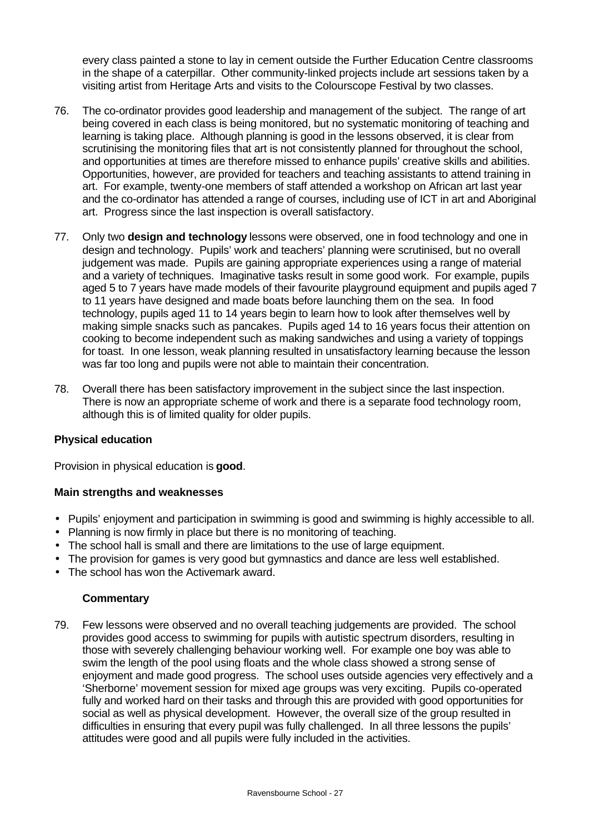every class painted a stone to lay in cement outside the Further Education Centre classrooms in the shape of a caterpillar. Other community-linked projects include art sessions taken by a visiting artist from Heritage Arts and visits to the Colourscope Festival by two classes.

- 76. The co-ordinator provides good leadership and management of the subject. The range of art being covered in each class is being monitored, but no systematic monitoring of teaching and learning is taking place. Although planning is good in the lessons observed, it is clear from scrutinising the monitoring files that art is not consistently planned for throughout the school, and opportunities at times are therefore missed to enhance pupils' creative skills and abilities. Opportunities, however, are provided for teachers and teaching assistants to attend training in art. For example, twenty-one members of staff attended a workshop on African art last year and the co-ordinator has attended a range of courses, including use of ICT in art and Aboriginal art. Progress since the last inspection is overall satisfactory.
- 77. Only two **design and technology** lessons were observed, one in food technology and one in design and technology. Pupils' work and teachers' planning were scrutinised, but no overall judgement was made. Pupils are gaining appropriate experiences using a range of material and a variety of techniques. Imaginative tasks result in some good work. For example, pupils aged 5 to 7 years have made models of their favourite playground equipment and pupils aged 7 to 11 years have designed and made boats before launching them on the sea. In food technology, pupils aged 11 to 14 years begin to learn how to look after themselves well by making simple snacks such as pancakes. Pupils aged 14 to 16 years focus their attention on cooking to become independent such as making sandwiches and using a variety of toppings for toast. In one lesson, weak planning resulted in unsatisfactory learning because the lesson was far too long and pupils were not able to maintain their concentration.
- 78. Overall there has been satisfactory improvement in the subject since the last inspection. There is now an appropriate scheme of work and there is a separate food technology room, although this is of limited quality for older pupils.

### **Physical education**

Provision in physical education is **good**.

#### **Main strengths and weaknesses**

- Pupils' enjoyment and participation in swimming is good and swimming is highly accessible to all.
- Planning is now firmly in place but there is no monitoring of teaching.
- The school hall is small and there are limitations to the use of large equipment.
- The provision for games is very good but gymnastics and dance are less well established.
- The school has won the Activemark award.

#### **Commentary**

79. Few lessons were observed and no overall teaching judgements are provided. The school provides good access to swimming for pupils with autistic spectrum disorders, resulting in those with severely challenging behaviour working well. For example one boy was able to swim the length of the pool using floats and the whole class showed a strong sense of enjoyment and made good progress. The school uses outside agencies very effectively and a 'Sherborne' movement session for mixed age groups was very exciting. Pupils co-operated fully and worked hard on their tasks and through this are provided with good opportunities for social as well as physical development. However, the overall size of the group resulted in difficulties in ensuring that every pupil was fully challenged. In all three lessons the pupils' attitudes were good and all pupils were fully included in the activities.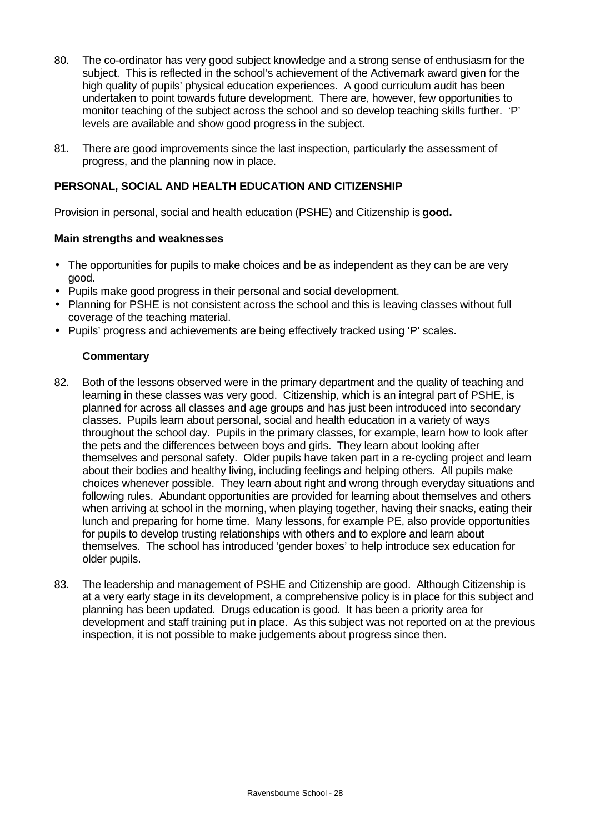- 80. The co-ordinator has very good subject knowledge and a strong sense of enthusiasm for the subject. This is reflected in the school's achievement of the Activemark award given for the high quality of pupils' physical education experiences. A good curriculum audit has been undertaken to point towards future development. There are, however, few opportunities to monitor teaching of the subject across the school and so develop teaching skills further. 'P' levels are available and show good progress in the subject.
- 81. There are good improvements since the last inspection, particularly the assessment of progress, and the planning now in place.

# **PERSONAL, SOCIAL AND HEALTH EDUCATION AND CITIZENSHIP**

Provision in personal, social and health education (PSHE) and Citizenship is **good.**

# **Main strengths and weaknesses**

- The opportunities for pupils to make choices and be as independent as they can be are very good.
- Pupils make good progress in their personal and social development.
- Planning for PSHE is not consistent across the school and this is leaving classes without full coverage of the teaching material.
- Pupils' progress and achievements are being effectively tracked using 'P' scales.

- 82. Both of the lessons observed were in the primary department and the quality of teaching and learning in these classes was very good. Citizenship, which is an integral part of PSHE, is planned for across all classes and age groups and has just been introduced into secondary classes. Pupils learn about personal, social and health education in a variety of ways throughout the school day. Pupils in the primary classes, for example, learn how to look after the pets and the differences between boys and girls. They learn about looking after themselves and personal safety. Older pupils have taken part in a re-cycling project and learn about their bodies and healthy living, including feelings and helping others. All pupils make choices whenever possible. They learn about right and wrong through everyday situations and following rules. Abundant opportunities are provided for learning about themselves and others when arriving at school in the morning, when playing together, having their snacks, eating their lunch and preparing for home time. Many lessons, for example PE, also provide opportunities for pupils to develop trusting relationships with others and to explore and learn about themselves. The school has introduced 'gender boxes' to help introduce sex education for older pupils.
- 83. The leadership and management of PSHE and Citizenship are good. Although Citizenship is at a very early stage in its development, a comprehensive policy is in place for this subject and planning has been updated. Drugs education is good. It has been a priority area for development and staff training put in place. As this subject was not reported on at the previous inspection, it is not possible to make judgements about progress since then.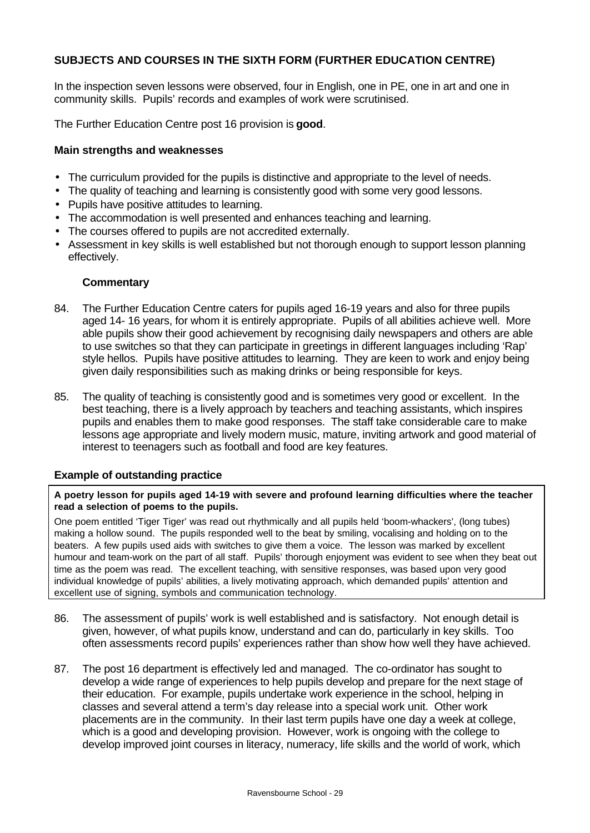# **SUBJECTS AND COURSES IN THE SIXTH FORM (FURTHER EDUCATION CENTRE)**

In the inspection seven lessons were observed, four in English, one in PE, one in art and one in community skills. Pupils' records and examples of work were scrutinised.

The Further Education Centre post 16 provision is **good**.

#### **Main strengths and weaknesses**

- The curriculum provided for the pupils is distinctive and appropriate to the level of needs.
- The quality of teaching and learning is consistently good with some very good lessons.
- Pupils have positive attitudes to learning.
- The accommodation is well presented and enhances teaching and learning.
- The courses offered to pupils are not accredited externally.
- Assessment in key skills is well established but not thorough enough to support lesson planning effectively.

#### **Commentary**

- 84. The Further Education Centre caters for pupils aged 16-19 years and also for three pupils aged 14- 16 years, for whom it is entirely appropriate. Pupils of all abilities achieve well. More able pupils show their good achievement by recognising daily newspapers and others are able to use switches so that they can participate in greetings in different languages including 'Rap' style hellos. Pupils have positive attitudes to learning. They are keen to work and enjoy being given daily responsibilities such as making drinks or being responsible for keys.
- 85. The quality of teaching is consistently good and is sometimes very good or excellent. In the best teaching, there is a lively approach by teachers and teaching assistants, which inspires pupils and enables them to make good responses. The staff take considerable care to make lessons age appropriate and lively modern music, mature, inviting artwork and good material of interest to teenagers such as football and food are key features.

### **Example of outstanding practice**

#### **A poetry lesson for pupils aged 14-19 with severe and profound learning difficulties where the teacher read a selection of poems to the pupils.**

One poem entitled 'Tiger Tiger' was read out rhythmically and all pupils held 'boom-whackers', (long tubes) making a hollow sound. The pupils responded well to the beat by smiling, vocalising and holding on to the beaters. A few pupils used aids with switches to give them a voice. The lesson was marked by excellent humour and team-work on the part of all staff. Pupils' thorough enjoyment was evident to see when they beat out time as the poem was read. The excellent teaching, with sensitive responses, was based upon very good individual knowledge of pupils' abilities, a lively motivating approach, which demanded pupils' attention and excellent use of signing, symbols and communication technology.

- 86. The assessment of pupils' work is well established and is satisfactory. Not enough detail is given, however, of what pupils know, understand and can do, particularly in key skills. Too often assessments record pupils' experiences rather than show how well they have achieved.
- 87. The post 16 department is effectively led and managed. The co-ordinator has sought to develop a wide range of experiences to help pupils develop and prepare for the next stage of their education. For example, pupils undertake work experience in the school, helping in classes and several attend a term's day release into a special work unit. Other work placements are in the community. In their last term pupils have one day a week at college, which is a good and developing provision. However, work is ongoing with the college to develop improved joint courses in literacy, numeracy, life skills and the world of work, which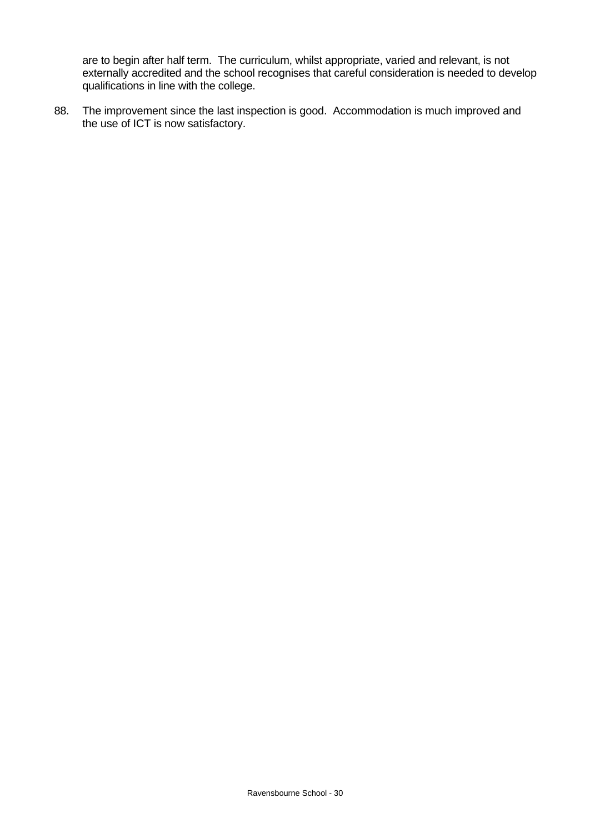are to begin after half term. The curriculum, whilst appropriate, varied and relevant, is not externally accredited and the school recognises that careful consideration is needed to develop qualifications in line with the college.

88. The improvement since the last inspection is good. Accommodation is much improved and the use of ICT is now satisfactory.